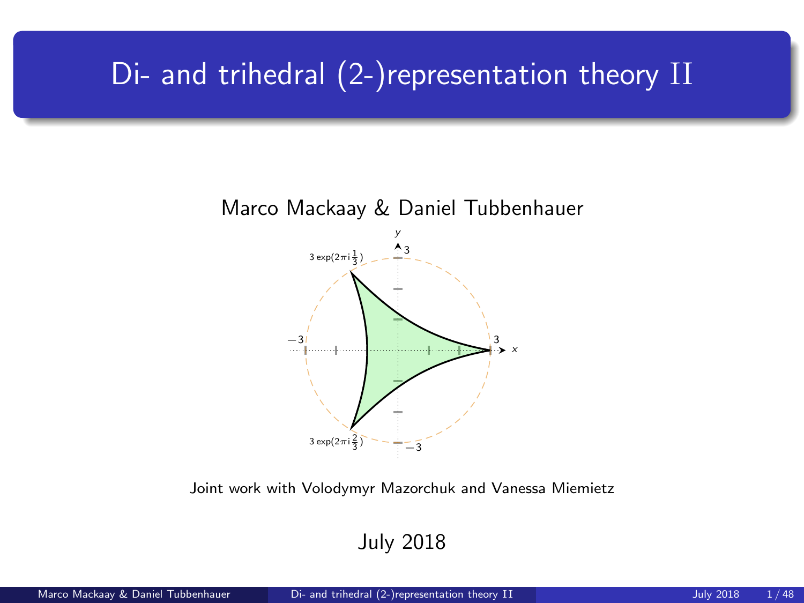## <span id="page-0-0"></span>Di- and trihedral (2-)representation theory II



Joint work with Volodymyr Mazorchuk and Vanessa Miemietz

July 2018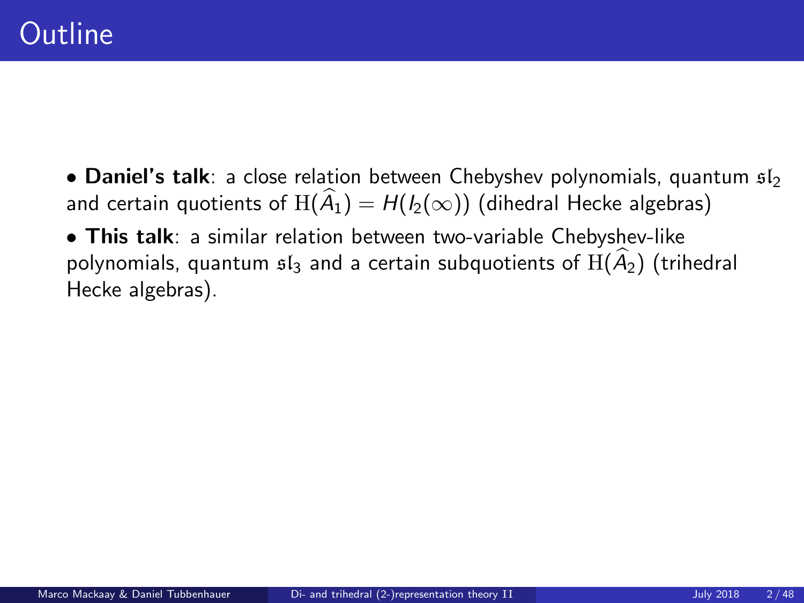• This talk: a similar relation between two-variable Chebyshev-like polynomials, quantum  $\mathfrak{sl}_3$  and a certain subquotients of  $\text{H}(\widehat{A}_2)$  (trihedral Hecke algebras).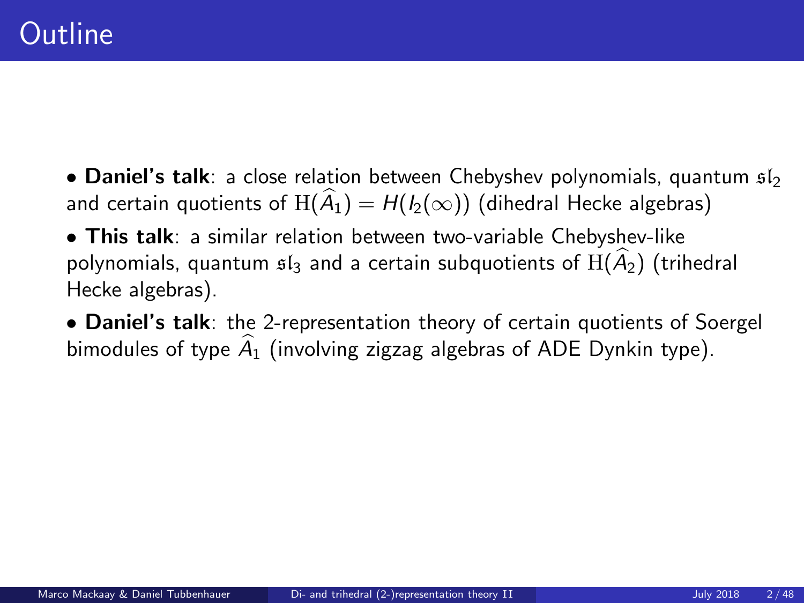• This talk: a similar relation between two-variable Chebyshev-like polynomials, quantum  $\mathfrak{sl}_3$  and a certain subquotients of  $\mathrm{H}(\widehat{A}_2)$  (trihedral Hecke algebras).

• Daniel's talk: the 2-representation theory of certain quotients of Soergel bimodules of type  $\hat{A}_1$  (involving zigzag algebras of ADE Dynkin type).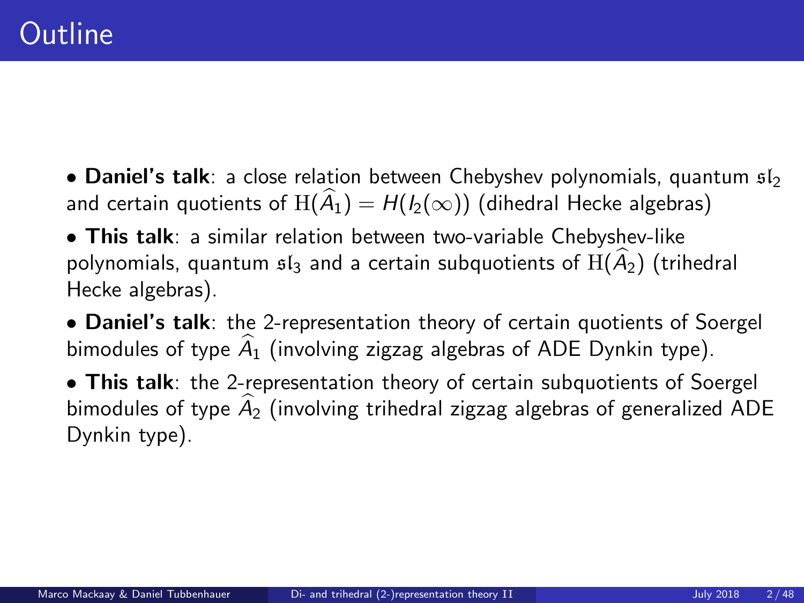• This talk: a similar relation between two-variable Chebyshev-like polynomials, quantum  $\mathfrak{sl}_3$  and a certain subquotients of  $\text{H}(\widehat{A}_2)$  (trihedral Hecke algebras).

• Daniel's talk: the 2-representation theory of certain quotients of Soergel bimodules of type  $\hat{A}_1$  (involving zigzag algebras of ADE Dynkin type).

• This talk: the 2-representation theory of certain subquotients of Soergel bimodules of type  $\widehat{A}_2$  (involving trihedral zigzag algebras of generalized ADE Dynkin type).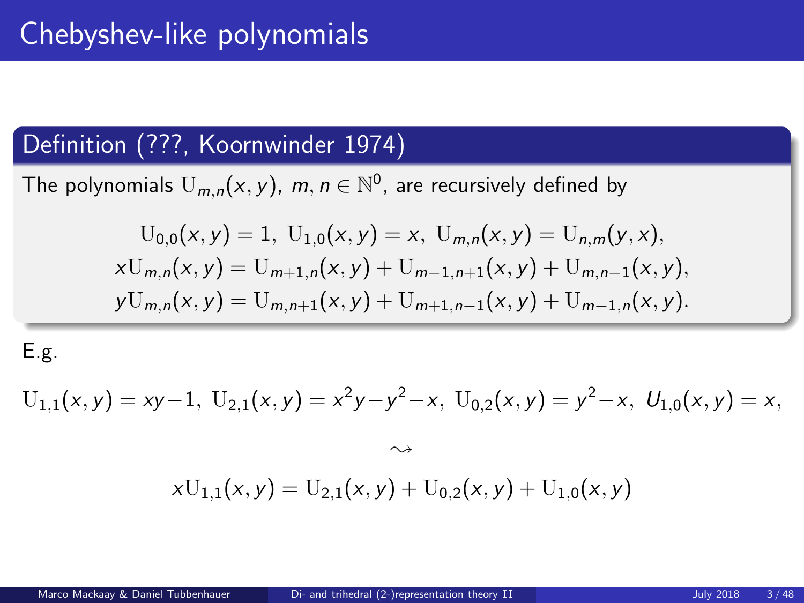### Definition (???, Koornwinder 1974)

The polynomials  $U_{m,n}(x, y)$ ,  $m, n \in \mathbb{N}^0$ , are recursively defined by

$$
U_{0,0}(x,y) = 1, U_{1,0}(x,y) = x, U_{m,n}(x,y) = U_{n,m}(y,x),
$$
  
\n
$$
xU_{m,n}(x,y) = U_{m+1,n}(x,y) + U_{m-1,n+1}(x,y) + U_{m,n-1}(x,y),
$$
  
\n
$$
yU_{m,n}(x,y) = U_{m,n+1}(x,y) + U_{m+1,n-1}(x,y) + U_{m-1,n}(x,y).
$$

E.g.

$$
U_{1,1}(x,y) = xy-1, \ U_{2,1}(x,y) = x^2y - y^2 - x, \ U_{0,2}(x,y) = y^2 - x, \ U_{1,0}(x,y) = x,
$$

$$
\rightsquigarrow
$$
  

$$
xU_{1,1}(x,y) = U_{2,1}(x,y) + U_{0,2}(x,y) + U_{1,0}(x,y)
$$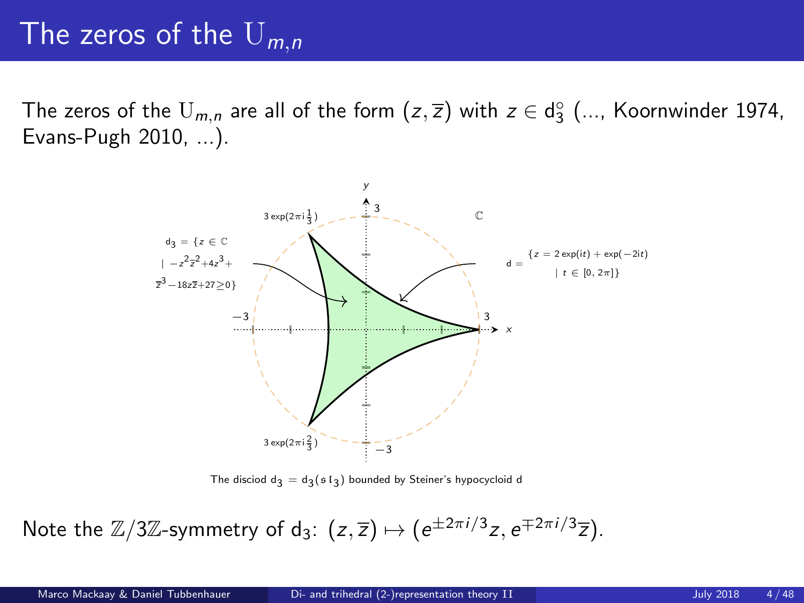## The zeros of the  $U_{m,n}$

The zeros of the  $\mathrm{U}_{m,n}$  are all of the form  $(z,\overline{z})$  with  $z\in\mathsf{d}_3^\circ$  (..., Koornwinder 1974, Evans-Pugh 2010, ...).



The disciod  $d_3 = d_3(\mathfrak{sl}_3)$  bounded by Steiner's hypocycloid d

Note the  $\mathbb{Z}/3\mathbb{Z}$ -symmetry of d<sub>3</sub>:  $(z,\overline{z}) \mapsto (e^{\pm 2\pi i/3}z, e^{\mp 2\pi i/3}\overline{z}).$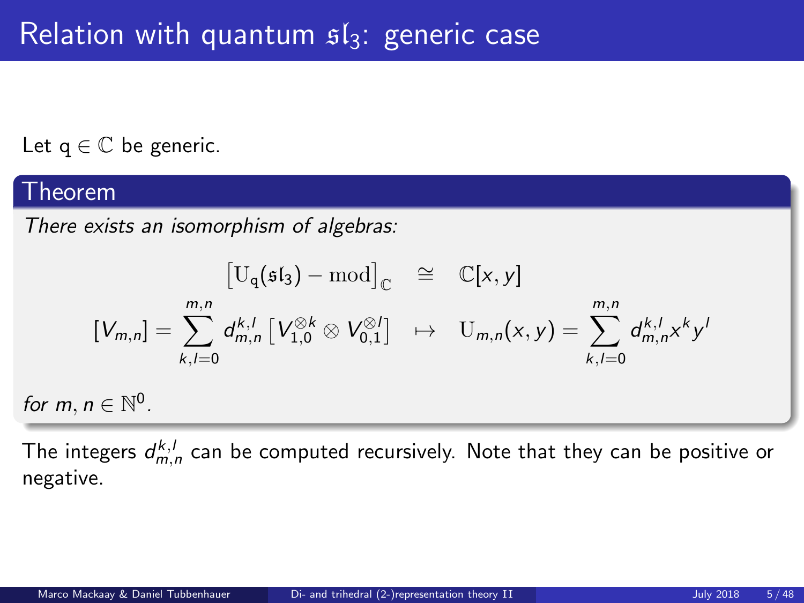## Relation with quantum  $sI_3$ : generic case

Let  $q \in \mathbb{C}$  be generic.

#### Theorem

for  $m$ ,

There exists an isomorphism of algebras:

$$
\begin{aligned}\n\left[\mathbf{U}_{\mathbf{q}}(\mathfrak{sl}_3)-\text{mod}\right]_{\mathbb{C}} &\cong & \mathbb{C}[x,y] \\
[V_{m,n}] &= \sum_{k,l=0}^{m,n} d_{m,n}^{k,l} \left[V_{1,0}^{\otimes k} \otimes V_{0,1}^{\otimes l}\right] &\mapsto & \mathbf{U}_{m,n}(x,y) = \sum_{k,l=0}^{m,n} d_{m,n}^{k,l} x^k y^l \\
n &\in \mathbb{N}^0.\n\end{aligned}
$$

The integers  $d_{m,n}^{k,l}$  can be computed recursively. Note that they can be positive or negative.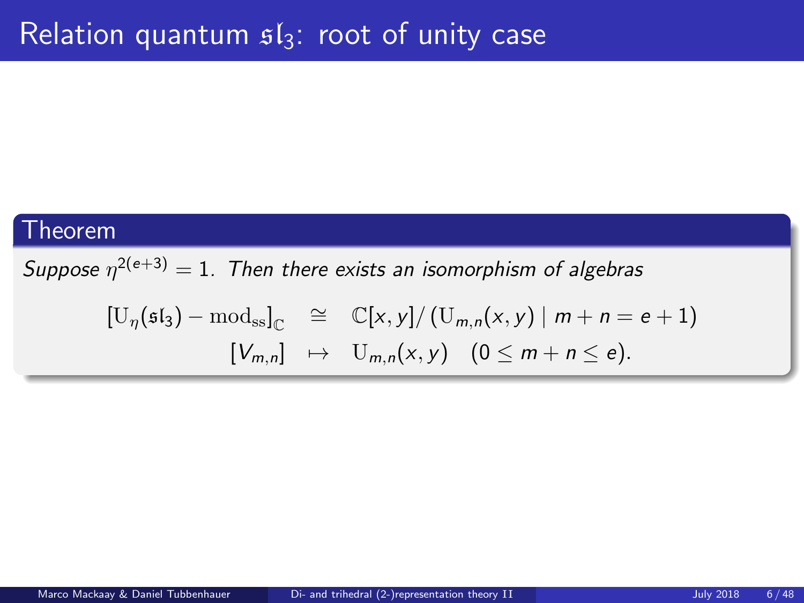### Theorem

Suppose  $\eta^{2(e+3)} = 1$ . Then there exists an isomorphism of algebras

$$
\begin{array}{rcl}\n\left[\mathrm{U}_{\eta}(\mathfrak{sl}_3)-\mathrm{mod}_{\mathrm{ss}}\right]_{\mathbb{C}} & \cong & \mathbb{C}[x,y]/\left(\mathrm{U}_{m,n}(x,y)\mid m+n=e+1\right) \\
\left[\mathrm{V}_{m,n}\right] & \mapsto & \mathrm{U}_{m,n}(x,y) \quad (0 \leq m+n \leq e).\n\end{array}
$$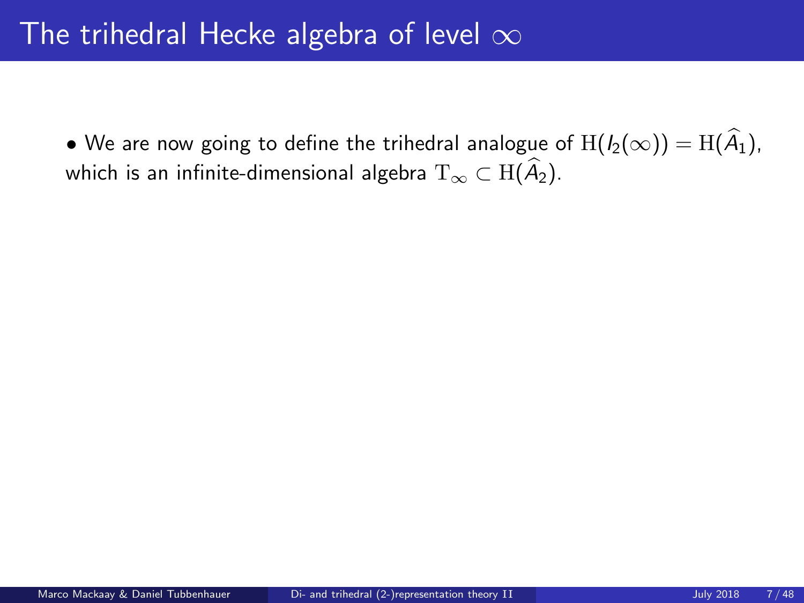• We are now going to define the trihedral analogue of  $H(I_2(\infty)) = H(\widehat{A}_1)$ , which is an infinite-dimensional algebra  $T_{\infty} \subset H(\widehat{A}_2)$ .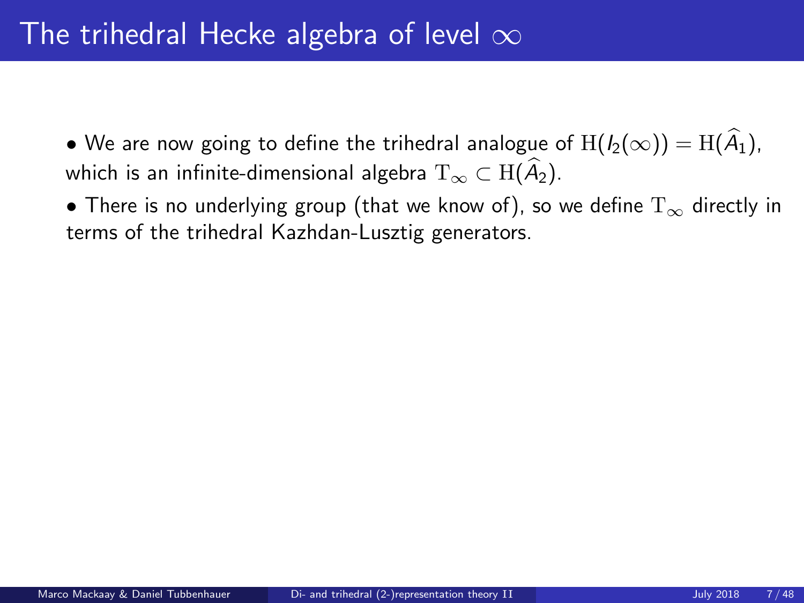• We are now going to define the trihedral analogue of  $H(I_2(\infty)) = H(\widehat{A}_1)$ , which is an infinite-dimensional algebra  $T_{\infty} \subset H(\widehat{A}_2)$ .

• There is no underlying group (that we know of), so we define  $T_{\infty}$  directly in terms of the trihedral Kazhdan-Lusztig generators.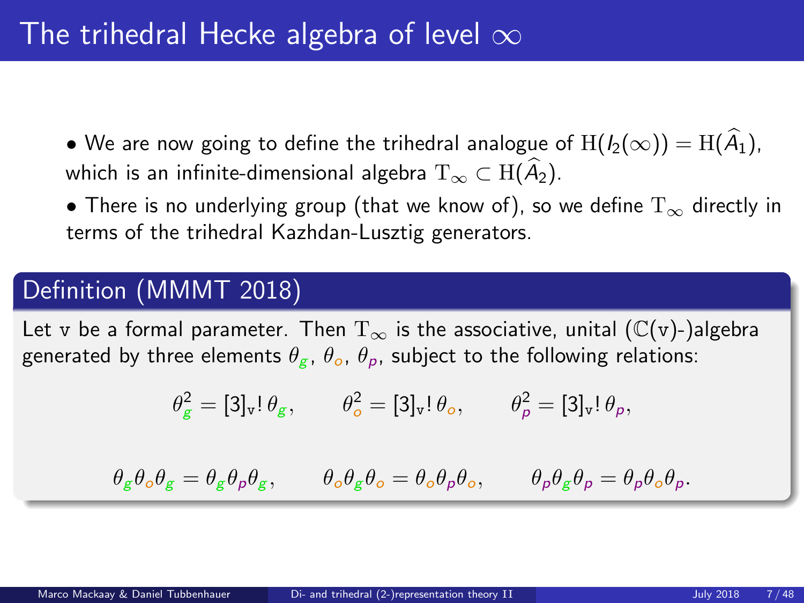• We are now going to define the trihedral analogue of  $H(I_2(\infty)) = H(\widehat{A}_1)$ , which is an infinite-dimensional algebra  $T_{\infty} \subset H(\widehat{A}_2)$ .

• There is no underlying group (that we know of), so we define  $T_{\infty}$  directly in terms of the trihedral Kazhdan-Lusztig generators.

### Definition (MMMT 2018)

Let v be a formal parameter. Then  $T_{\infty}$  is the associative, unital ( $\mathbb{C}(v)$ -)algebra generated by three elements  $\theta_{\varphi}$ ,  $\theta_{\varphi}$ ,  $\theta_{\varphi}$ , subject to the following relations:

$$
\theta_g^2 = [3]_{\mathbf{v}}!\,\theta_g, \qquad \theta_o^2 = [3]_{\mathbf{v}}!\,\theta_o, \qquad \theta_\rho^2 = [3]_{\mathbf{v}}!\,\theta_p,
$$

 $\theta_{\varepsilon} \theta_{o} \theta_{\varepsilon} = \theta_{\varepsilon} \theta_{o} \theta_{o} \theta_{\varepsilon}, \qquad \theta_{o} \theta_{\varepsilon} \theta_{o} = \theta_{o} \theta_{o} \theta_{o} = \theta_{o} \theta_{o} \theta_{o} \theta_{o}.$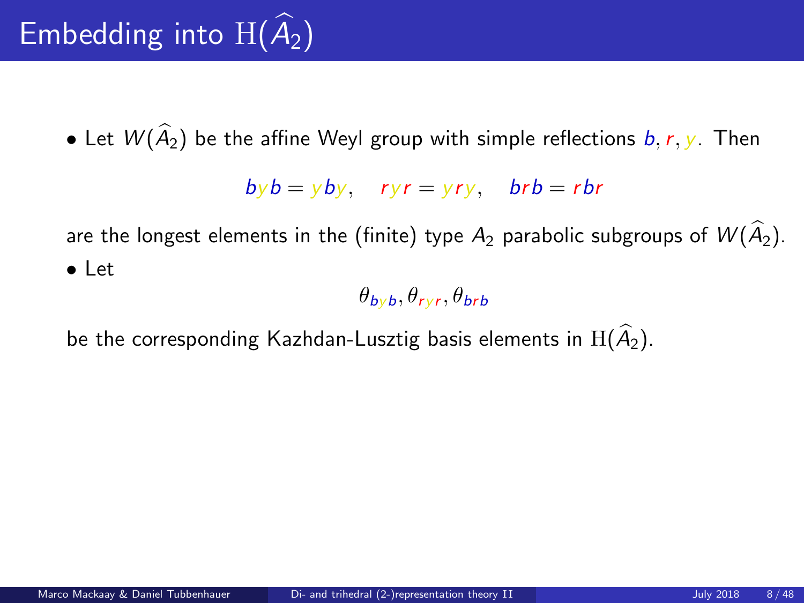# Embedding into  $H(\widehat{A}_2)$

• Let  $W(\widehat{A}_2)$  be the affine Weyl group with simple reflections  $b, r, y$ . Then

$$
by b = y by
$$
,  $ryr = yry$ ,  $brb = rbr$ 

are the longest elements in the (finite) type  $A_2$  parabolic subgroups of  $W(\widehat{A}_2)$ . • Let

 $\theta_{\small{byb}}, \theta_{\small{ryr}}, \theta_{\small{brb}}$ 

be the corresponding Kazhdan-Lusztig basis elements in  $H(\hat{A}_2)$ .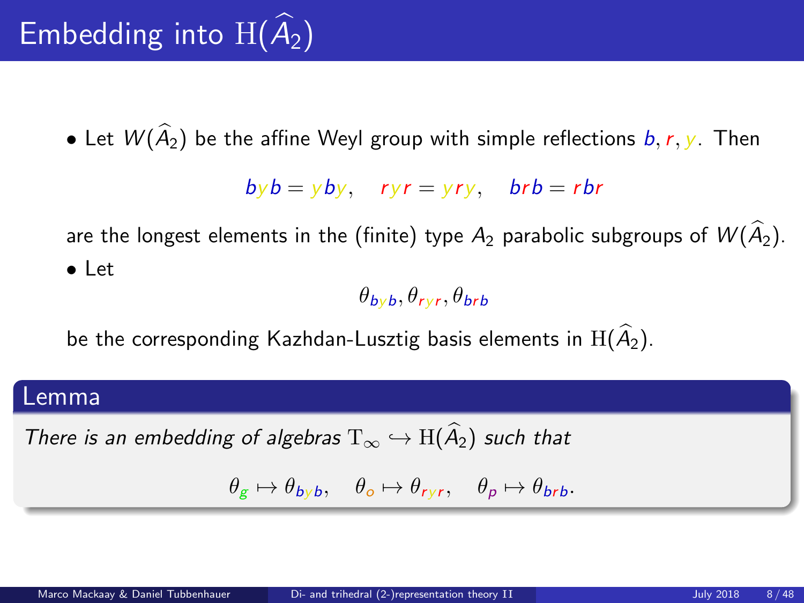# Embedding into  $H(\widehat{A}_2)$

• Let  $W(\widehat{A}_2)$  be the affine Weyl group with simple reflections  $b, r, y$ . Then

$$
by b = y by
$$
,  $ryr = yry$ ,  $brb = rbr$ 

are the longest elements in the (finite) type  $A_2$  parabolic subgroups of  $W(\widehat{A}_2)$ . • Let

 $\theta_{\small{byb}}, \theta_{\small{ryr}}, \theta_{\small{brb}}$ 

be the corresponding Kazhdan-Lusztig basis elements in  $H(\widehat{A}_2)$ .

#### Lemma

There is an embedding of algebras  $T_{\infty} \hookrightarrow H(\widehat{A}_2)$  such that

$$
\theta_g \mapsto \theta_{byb}, \quad \theta_o \mapsto \theta_{ryr}, \quad \theta_p \mapsto \theta_{brb}.
$$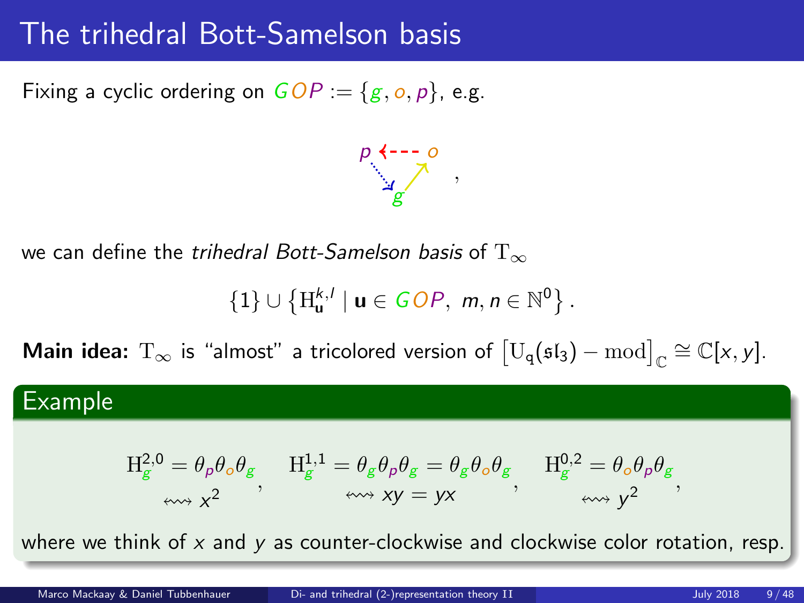### The trihedral Bott-Samelson basis

Fixing a cyclic ordering on  $GOP := \{g, o, p\}$ , e.g.



we can define the *trihedral Bott-Samelson basis* of  $T_{\infty}$ 

$$
\{1\}\cup \left\{\mathrm{H}_{\mathbf{u}}^{k,l}\mid \mathbf{u}\in GOP,\ m,n\in\mathbb{N}^0\right\}.
$$

**Main idea:**  $T_{\infty}$  is "almost" a tricolored version of  $[U_q(\mathfrak{sl}_3) - \text{mod}]_{\mathbb{C}} \cong \mathbb{C}[x, y].$ 

### Example

$$
\begin{array}{ll} \displaystyle H_{g}^{2,0}=\theta_{\rho}\theta_{o}\theta_{g} & H_{g}^{1,1}=\theta_{g}\theta_{\rho}\theta_{g}=\theta_{g}\theta_{o}\theta_{g} & H_{g}^{0,2}=\theta_{o}\theta_{\rho}\theta_{g} \\ \displaystyle \quad \ \ \, \textrm{and} \ \ \displaystyle x^{2} & \quad \ \ \, \textrm{and} \ \ \displaystyle xy=yx & \quad \ \ \, \textrm{and} \ \ y^{2} \end{array}
$$

where we think of  $x$  and  $y$  as counter-clockwise and clockwise color rotation, resp.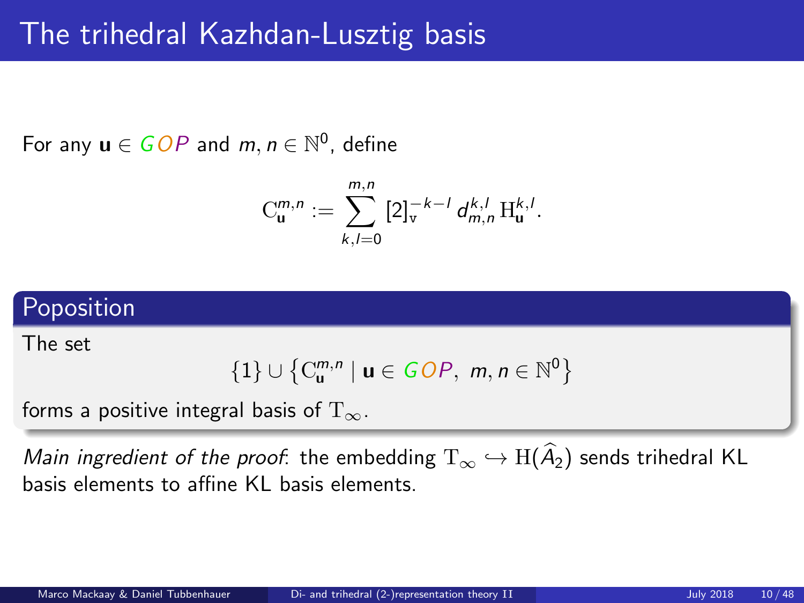## The trihedral Kazhdan-Lusztig basis

For any  $u \in GOP$  and  $m, n \in \mathbb{N}^0$ , define

$$
C_{\mathbf{u}}^{m,n} := \sum_{k,l=0}^{m,n} [2]_{v}^{-k-l} d_{m,n}^{k,l} H_{\mathbf{u}}^{k,l}.
$$

### Poposition

The set

$$
\{1\} \cup \left\{C_{\mathbf{u}}^{m,n} \mid \mathbf{u} \in \text{GOP}, \ m, n \in \mathbb{N}^0\right\}
$$

forms a positive integral basis of  $T_{\infty}$ .

Main ingredient of the proof: the embedding  $T_{\infty} \hookrightarrow H(\hat{A}_2)$  sends trihedral KL basis elements to affine KL basis elements.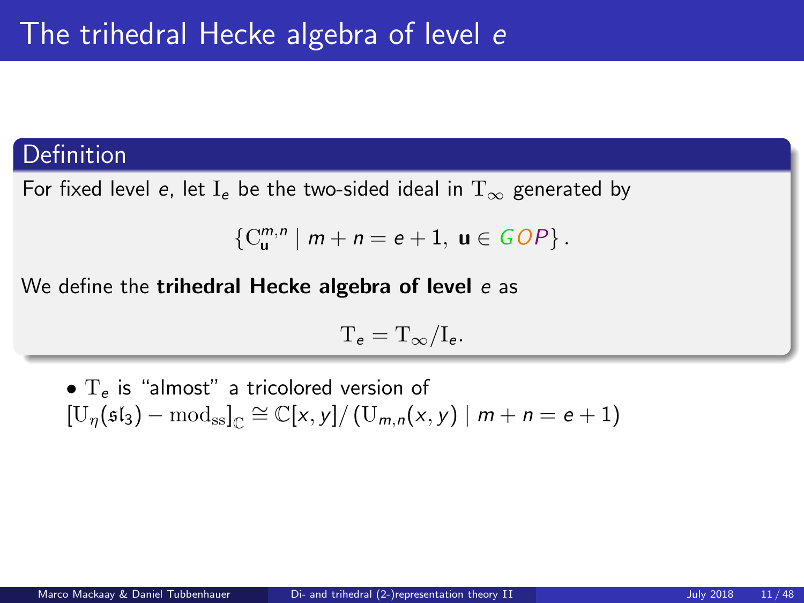### **Definition**

For fixed level e, let I<sub>e</sub> be the two-sided ideal in  $T_{\infty}$  generated by

$$
\left\{C_{\mathbf{u}}^{m,n} \mid m+n=e+1, \mathbf{u} \in GOP\right\}.
$$

We define the **trihedral Hecke algebra of level** e as

$$
T_e=T_\infty/I_e.
$$

•  $T_e$  is "almost" a tricolored version of  $[\mathbb{U}_{\eta}(\mathfrak{sl}_3)-\mathrm{mod}_{\mathrm{ss}}]_{\mathbb{C}} \cong \mathbb{C}[x,y]/(\mathbb{U}_{m,n}(x,y) \mid m+n = e+1)$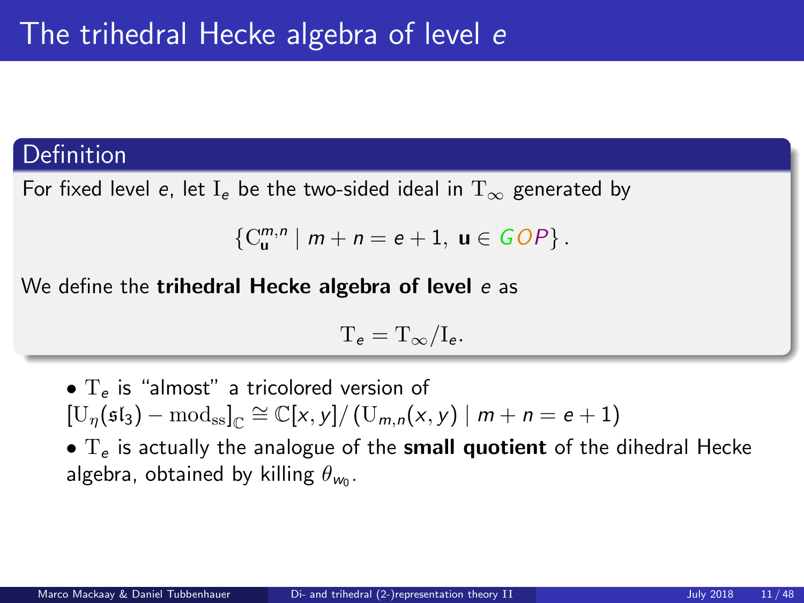### Definition

For fixed level e, let I<sub>e</sub> be the two-sided ideal in  $T_{\infty}$  generated by

$$
\left\{C_{\mathbf{u}}^{m,n} \mid m+n=e+1, \mathbf{u} \in GOP\right\}.
$$

We define the **trihedral Hecke algebra of level** e as

$$
T_e=T_\infty/I_e.
$$

•  $T_e$  is "almost" a tricolored version of  $[\mathbb{U}_{\eta}(\mathfrak{sl}_3)-\mathrm{mod}_{\mathrm{ss}}]_{\mathbb{C}} \cong \mathbb{C}[x,y]/(\mathbb{U}_{m,n}(x,y) \mid m+n = e+1)$  $\bullet$  T<sub>e</sub> is actually the analogue of the **small quotient** of the dihedral Hecke algebra, obtained by killing  $\theta_{w_0}$ .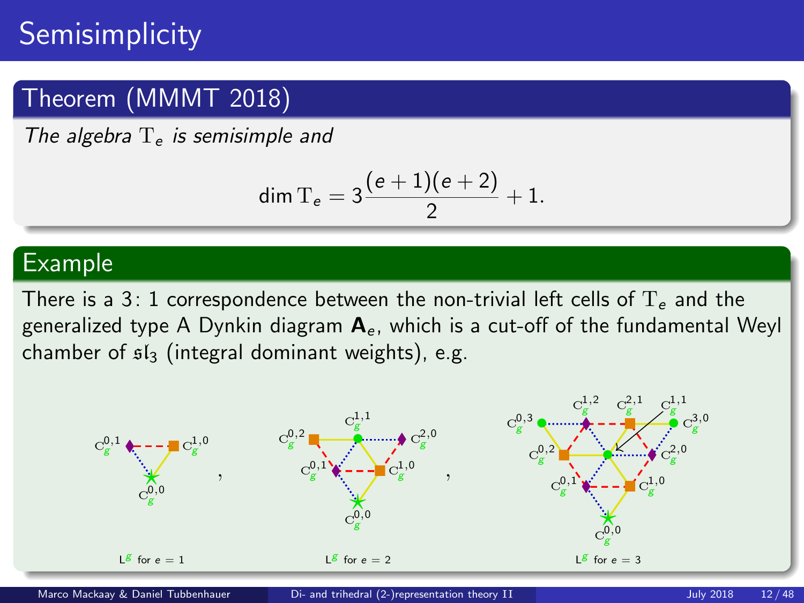## **Semisimplicity**

### Theorem (MMMT 2018)

The algebra  $T_e$  is semisimple and

$$
\dim \mathrm{T}_e = 3\frac{(e+1)(e+2)}{2}+1.
$$

### Example

There is a 3: 1 correspondence between the non-trivial left cells of  $T_e$  and the generalized type A Dynkin diagram  $A<sub>e</sub>$ , which is a cut-off of the fundamental Weyl chamber of  $sI_3$  (integral dominant weights), e.g.

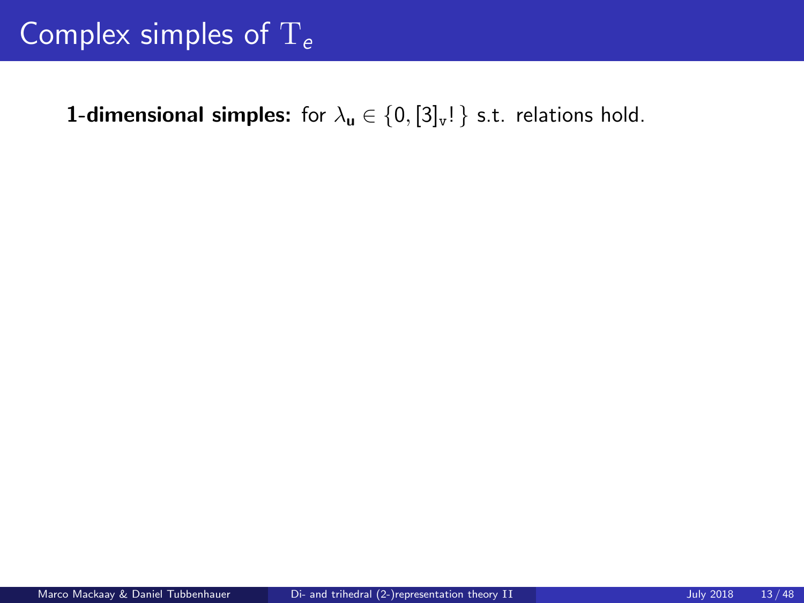## Complex simples of  $T_e$

**1-dimensional simples:** for  $\lambda_u \in \{0, [3]_v!\}$  s.t. relations hold.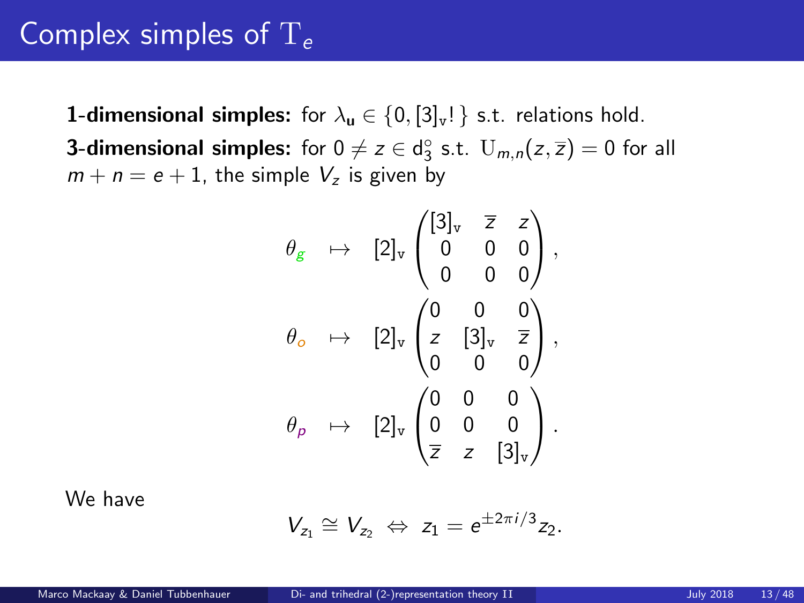### Complex simples of  $T_e$

**1-dimensional simples:** for  $\lambda_{\mathbf{u}} \in \{0, 3]_{\mathbf{v}}\}$  s.t. relations hold. **3-dimensional simples:** for  $0 \neq z \in d_3^\circ$  s.t.  $U_{m,n}(z,\overline{z}) = 0$  for all  $m + n = e + 1$ , the simple  $V_z$  is given by

$$
\theta_{g} \rightarrow [2]_{v} \begin{pmatrix} [3]_{v} & \overline{z} & z \\ 0 & 0 & 0 \\ 0 & 0 & 0 \end{pmatrix},
$$

$$
\theta_{o} \rightarrow [2]_{v} \begin{pmatrix} 0 & 0 & 0 \\ z & [3]_{v} & \overline{z} \\ 0 & 0 & 0 \end{pmatrix},
$$

$$
\theta_{p} \rightarrow [2]_{v} \begin{pmatrix} 0 & 0 & 0 \\ 0 & 0 & 0 \\ \overline{z} & z & [3]_{v} \end{pmatrix}.
$$

We have

$$
V_{z_1}\cong V_{z_2}\ \Leftrightarrow\ z_1=e^{\pm 2\pi i/3}z_2.
$$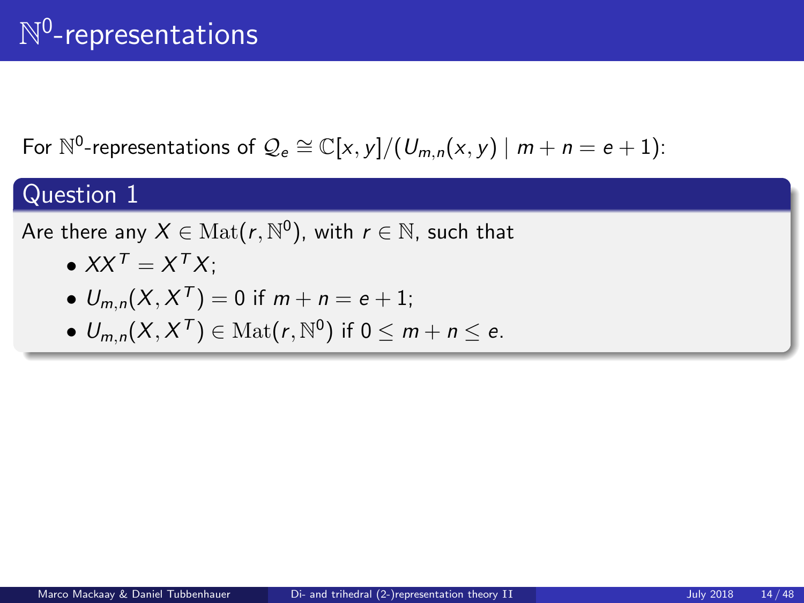## $\mathbb{N}^0$ -representations

For  $\mathbb{N}^0$ -representations of  $\mathcal{Q}_e \cong \mathbb{C}[x,y]/(U_{m,n}(x,y) \mid m+n=e+1)$ :

### Question 1

Are there any  $X \in \mathrm{Mat}(r, \mathbb{N}^0),$  with  $r \in \mathbb{N},$  such that

$$
\bullet XX^T = X^T X;
$$

• 
$$
U_{m,n}(X, X^T) = 0
$$
 if  $m + n = e + 1$ ;

•  $U_{m,n}(X, X^T) \in \text{Mat}(r, \mathbb{N}^0)$  if  $0 \leq m + n \leq e$ .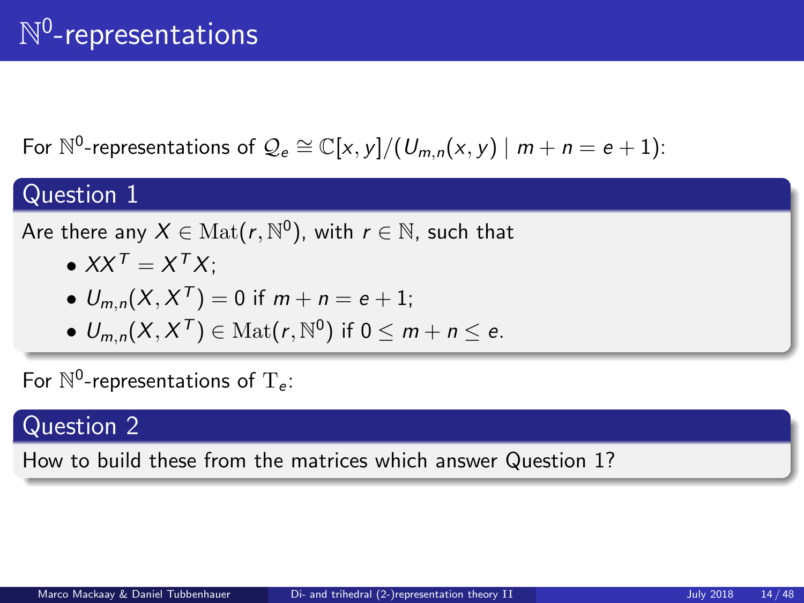## $\mathbb{N}^0$ -representations

For  $\mathbb{N}^0$ -representations of  $\mathcal{Q}_e \cong \mathbb{C}[x,y]/(U_{m,n}(x,y) \mid m+n=e+1)$ :

### Question 1

Are there any  $X \in \mathrm{Mat}(r, \mathbb{N}^0),$  with  $r \in \mathbb{N},$  such that

$$
\bullet XX^T = X^T X;
$$

• 
$$
U_{m,n}(X, X^T) = 0
$$
 if  $m + n = e + 1$ ;

•  $U_{m,n}(X, X^T) \in \text{Mat}(r, \mathbb{N}^0)$  if  $0 \leq m + n \leq e$ .

For  $\mathbb{N}^0$ -representations of  $T_e$ :

### Question 2

How to build these from the matrices which answer Question 1?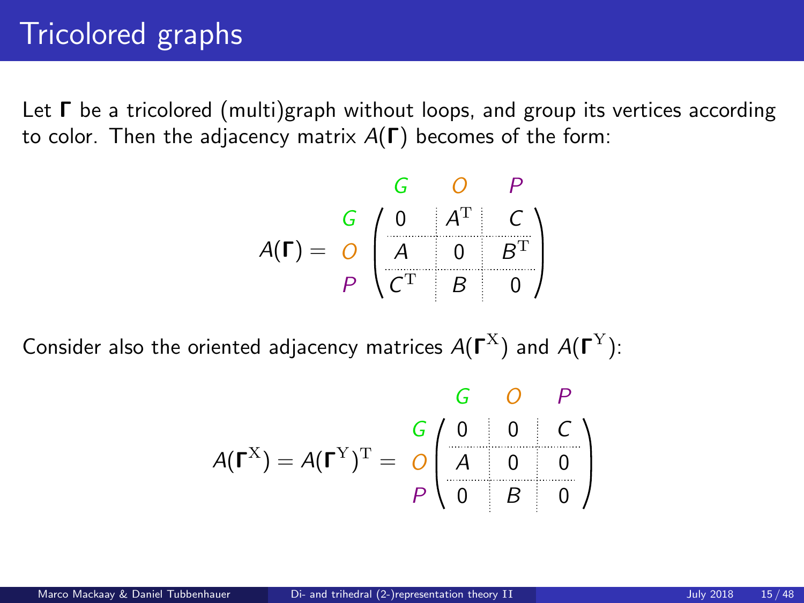## Tricolored graphs

Let  $\Gamma$  be a tricolored (multi)graph without loops, and group its vertices according to color. Then the adjacency matrix  $A(\Gamma)$  becomes of the form:

$$
A(\Gamma) = \begin{array}{c|c}\nG & O & P \\
\hline\nG & 0 & A^{\mathrm{T}} & C \\
\hline\nA & 0 & B^{\mathrm{T}} \\
P & C^{\mathrm{T}} & B & 0\n\end{array}
$$

Consider also the oriented adjacency matrices  $A(\Gamma^{\rm X})$  and  $A(\Gamma^{\rm Y})$ :

$$
A(\Gamma^{X}) = A(\Gamma^{Y})^{T} = \begin{array}{c|c} G & O & P \\ \hline G & O & O & C \\ \hline A & O & O & O \\ \hline D & O & B & O \end{array}
$$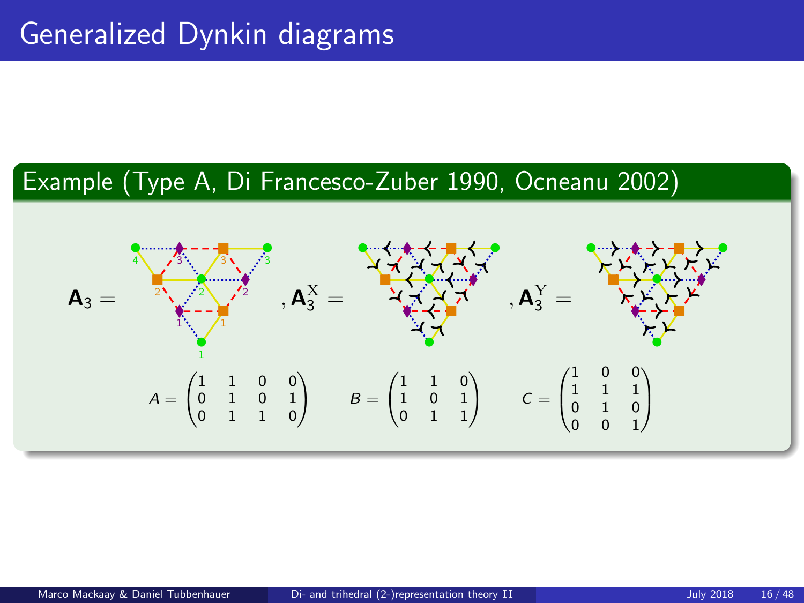### Example (Type A, Di Francesco-Zuber 1990, Ocneanu 2002)

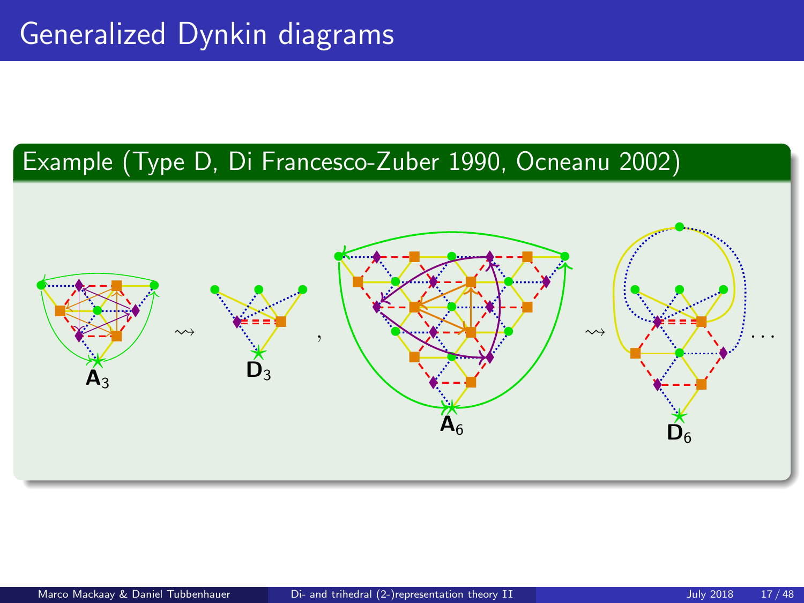### Example (Type D, Di Francesco-Zuber 1990, Ocneanu 2002)

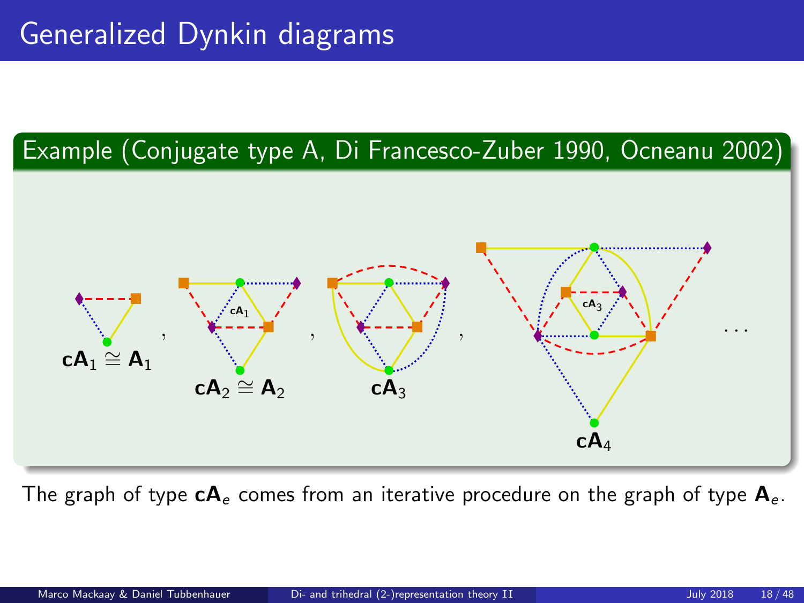### Example (Conjugate type A, Di Francesco-Zuber 1990, Ocneanu 2002)



The graph of type  $cA_e$  comes from an iterative procedure on the graph of type  $A_e$ .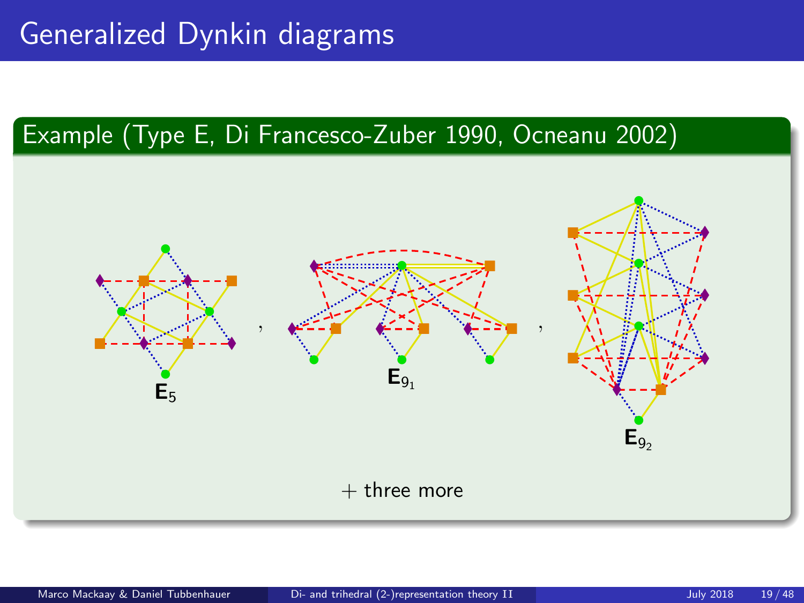## Generalized Dynkin diagrams

### Example (Type E, Di Francesco-Zuber 1990, Ocneanu 2002)

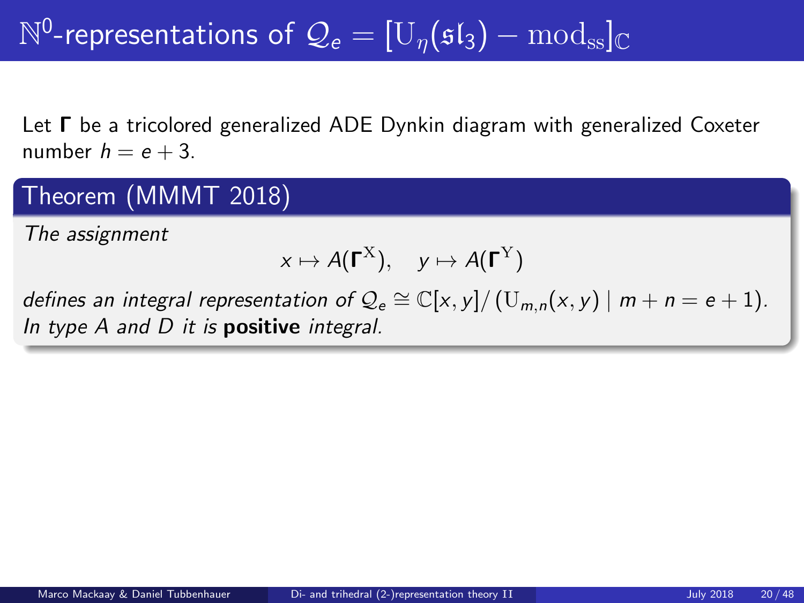### Theorem (MMMT 2018)

The assignment

$$
x \mapsto A(\Gamma^{\mathrm{X}}), \quad y \mapsto A(\Gamma^{\mathrm{Y}})
$$

defines an integral representation of  $\mathcal{Q}_e \cong \mathbb{C}[x, y]/(U_{m,n}(x, y) \mid m + n = e + 1)$ . In type  $A$  and  $D$  it is **positive** integral.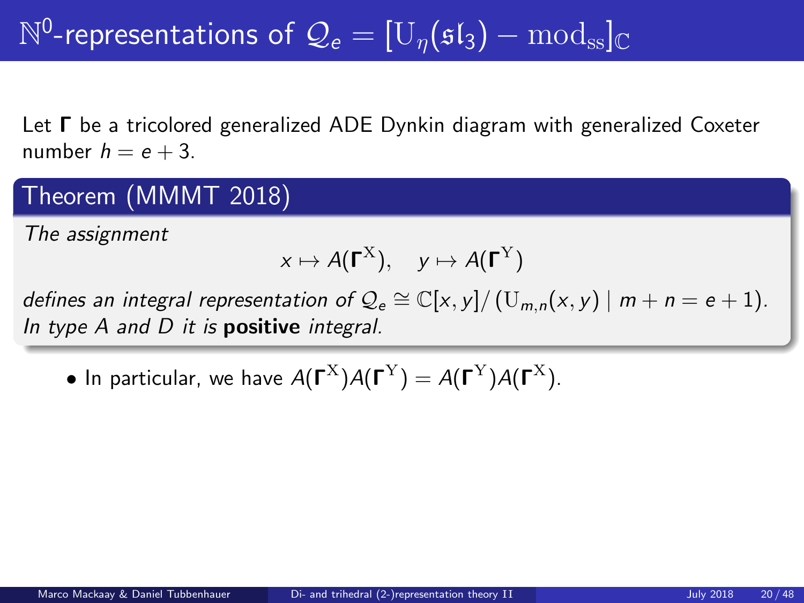### Theorem (MMMT 2018)

The assignment

$$
x \mapsto A(\Gamma^{\mathrm{X}}), \quad y \mapsto A(\Gamma^{\mathrm{Y}})
$$

defines an integral representation of  $\mathcal{Q}_e \cong \mathbb{C}[x, y]/(U_{m,n}(x, y) \mid m + n = e + 1)$ . In type  $A$  and  $D$  it is **positive** integral.

• In particular, we have  $A(\Gamma^{\rm X})A(\Gamma^{\rm Y})=A(\Gamma^{\rm Y})A(\Gamma^{\rm X}).$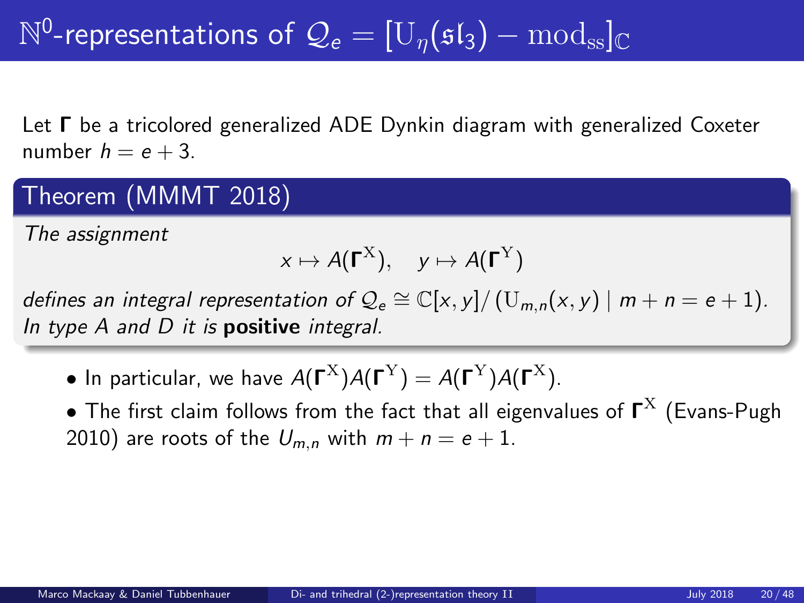### Theorem (MMMT 2018)

The assignment

$$
x \mapsto A(\Gamma^{\mathrm{X}}), \quad y \mapsto A(\Gamma^{\mathrm{Y}})
$$

defines an integral representation of  $\mathcal{Q}_e \cong \mathbb{C}[x, y]/(U_{m,n}(x, y) \mid m + n = e + 1)$ . In type  $A$  and  $D$  it is **positive** integral.

- In particular, we have  $A(\Gamma^{\rm X})A(\Gamma^{\rm Y})=A(\Gamma^{\rm Y})A(\Gamma^{\rm X}).$
- $\bullet$  The first claim follows from the fact that all eigenvalues of  $\boldsymbol{\mathsf{\Gamma}}^\text{X}$  (Evans-Pugh 2010) are roots of the  $U_{m,n}$  with  $m + n = e + 1$ .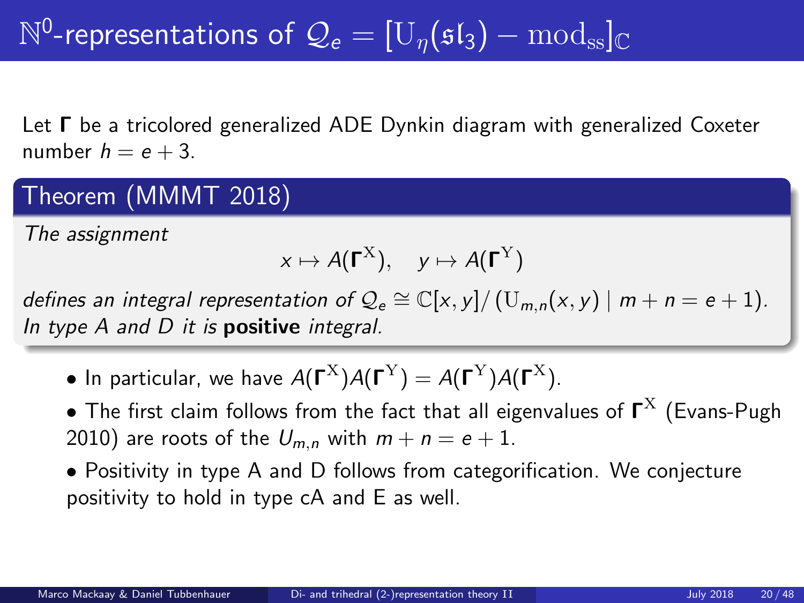### Theorem (MMMT 2018)

The assignment

$$
x \mapsto A(\Gamma^{\mathrm{X}}), \quad y \mapsto A(\Gamma^{\mathrm{Y}})
$$

defines an integral representation of  $\mathcal{Q}_e \cong \mathbb{C}[x, y]/(U_{m,n}(x, y) \mid m + n = e + 1)$ . In type  $A$  and  $D$  it is **positive** integral.

- In particular, we have  $A(\Gamma^{\rm X})A(\Gamma^{\rm Y})=A(\Gamma^{\rm Y})A(\Gamma^{\rm X}).$
- $\bullet$  The first claim follows from the fact that all eigenvalues of  $\boldsymbol{\mathsf{\Gamma}}^\text{X}$  (Evans-Pugh 2010) are roots of the  $U_{m,n}$  with  $m + n = e + 1$ .
- Positivity in type A and D follows from categorification. We conjecture positivity to hold in type cA and E as well.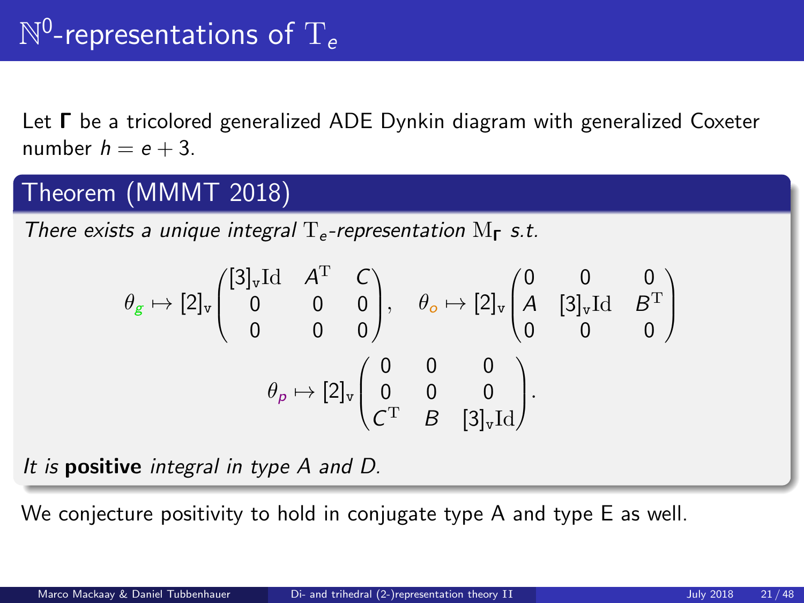### Theorem (MMMT 2018)

There exists a unique integral  $T_e$ -representation  $M_{\Gamma}$  s.t.

$$
\theta_{g} \mapsto [2]_{v} \begin{pmatrix} [3]_{v} \mathrm{Id} & A^{T} & C \\ 0 & 0 & 0 \\ 0 & 0 & 0 \end{pmatrix}, \quad \theta_{o} \mapsto [2]_{v} \begin{pmatrix} 0 & 0 & 0 \\ A & [3]_{v} \mathrm{Id} & B^{T} \\ 0 & 0 & 0 \end{pmatrix}
$$

$$
\theta_{p} \mapsto [2]_{v} \begin{pmatrix} 0 & 0 & 0 \\ 0 & 0 & 0 \\ C^{T} & B & [3]_{v} \mathrm{Id} \end{pmatrix}.
$$

It is positive integral in type A and D.

We conjecture positivity to hold in conjugate type A and type E as well.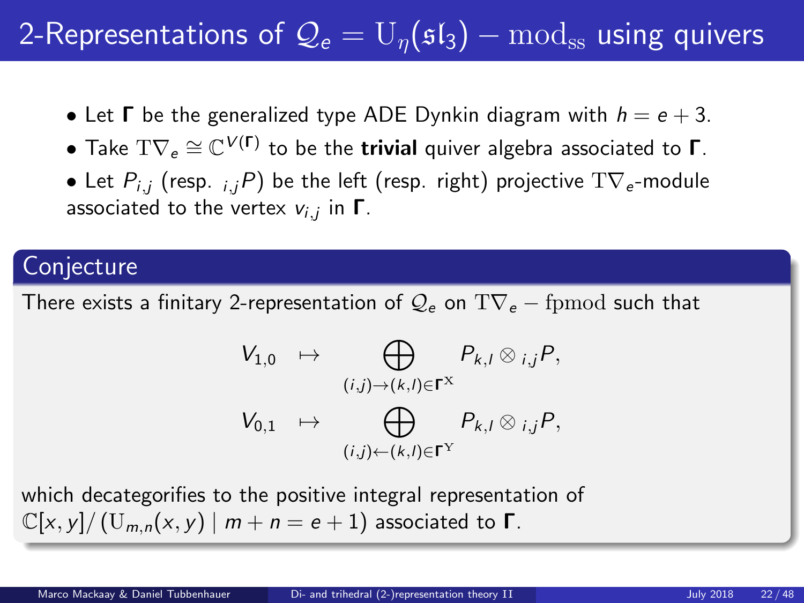## 2-Representations of  $\mathcal{Q}_e = U_n(\mathfrak{sl}_3) - \text{mod}_{ss}$  using quivers

- Let  $\Gamma$  be the generalized type ADE Dynkin diagram with  $h = e + 3$ .
- $\bullet$  Take  $\text{TV}_e \cong \mathbb{C}^{V(\Gamma)}$  to be the trivial quiver algebra associated to  $\Gamma.$
- Let  $P_{i,j}$  (resp.  $_{i,j}P$ ) be the left (resp. right) projective  $T\nabla_e$ -module associated to the vertex  $v_{i,j}$  in  $\boldsymbol{\mathsf{\Gamma}}.$

### **Conjecture**

There exists a finitary 2-representation of  $\mathcal{Q}_e$  on  $T\nabla_e$  – fpmod such that

$$
V_{1,0} \rightarrow \bigoplus_{(i,j)\rightarrow(k,l)\in\Gamma^X} P_{k,l} \otimes_{i,j} P,
$$
  

$$
V_{0,1} \rightarrow \bigoplus_{(i,j)\leftarrow(k,l)\in\Gamma^Y} P_{k,l} \otimes_{i,j} P,
$$

which decategorifies to the positive integral representation of  $\mathbb{C}[x, y]/(\mathrm{U}_{m,n}(x, y) \mid m+n=e+1)$  associated to  $\Gamma$ .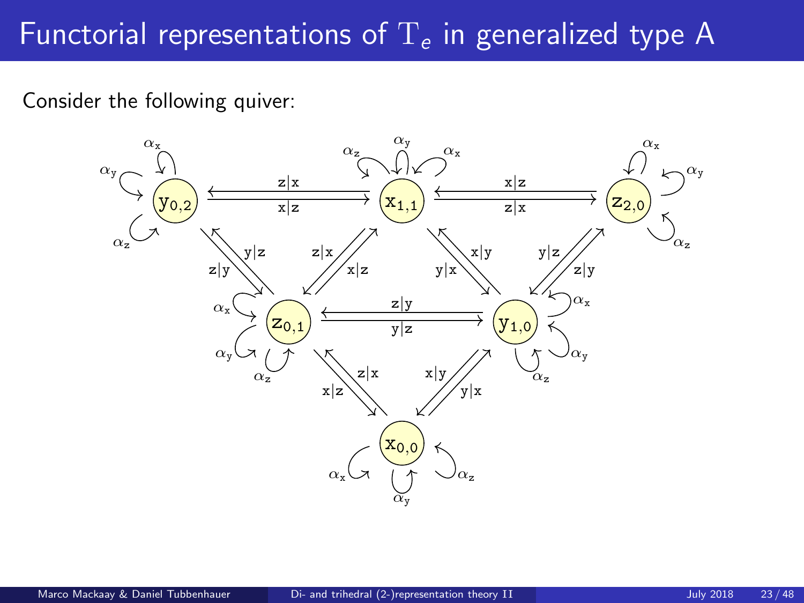## Functorial representations of  $T_e$  in generalized type A

Consider the following quiver:

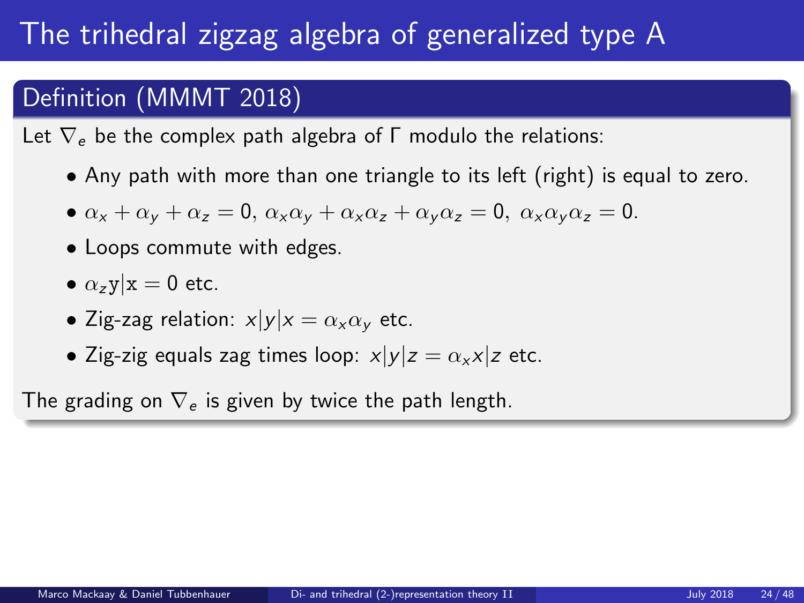## The trihedral zigzag algebra of generalized type A

### Definition (MMMT 2018)

Let  $\nabla_e$  be the complex path algebra of Γ modulo the relations:

• Any path with more than one triangle to its left (right) is equal to zero.

• 
$$
\alpha_x + \alpha_y + \alpha_z = 0
$$
,  $\alpha_x \alpha_y + \alpha_x \alpha_z + \alpha_y \alpha_z = 0$ ,  $\alpha_x \alpha_y \alpha_z = 0$ .

- Loops commute with edges.
- $\alpha$ <sub>z</sub>y|x = 0 etc.
- Zig-zag relation:  $x|y|x = \alpha_x \alpha_y$  etc.
- Zig-zig equals zag times loop:  $x|y|z = \alpha_x x|z$  etc.

The grading on  $\nabla_e$  is given by twice the path length.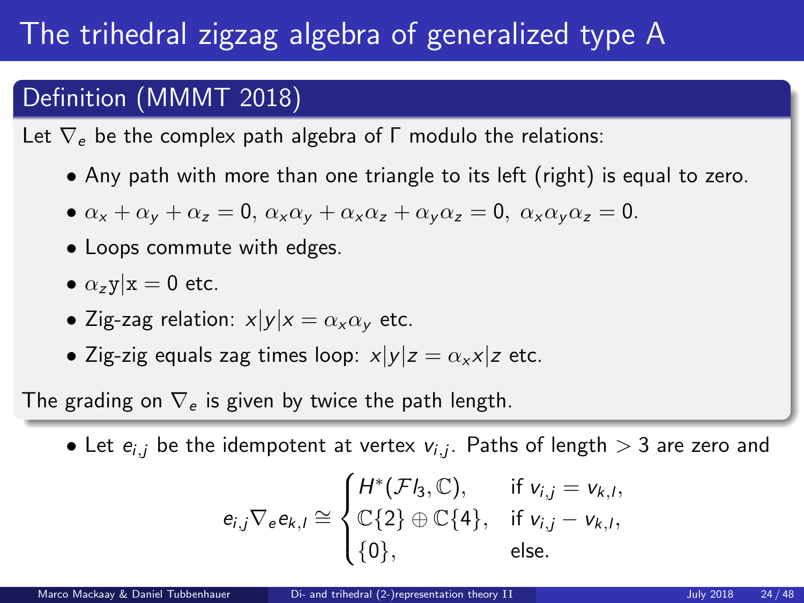# The trihedral zigzag algebra of generalized type A

### Definition (MMMT 2018)

Let  $\nabla_e$  be the complex path algebra of Γ modulo the relations:

• Any path with more than one triangle to its left (right) is equal to zero.

• 
$$
\alpha_x + \alpha_y + \alpha_z = 0
$$
,  $\alpha_x \alpha_y + \alpha_x \alpha_z + \alpha_y \alpha_z = 0$ ,  $\alpha_x \alpha_y \alpha_z = 0$ .

- Loops commute with edges.
- $\alpha$ <sub>z</sub>y|x = 0 etc.
- Zig-zag relation:  $x|y|x = \alpha_x \alpha_y$  etc.
- Zig-zig equals zag times loop:  $x|y|z = \alpha_x x|z$  etc.

The grading on  $\nabla_e$  is given by twice the path length.

 $\bullet$  Let  $e_{i,j}$  be the idempotent at vertex  $v_{i,j}$ . Paths of length  $>$  3 are zero and

$$
e_{i,j} \nabla_e e_{k,l} \cong \begin{cases} H^*(\mathcal{F}l_3, \mathbb{C}), & \text{if } v_{i,j} = v_{k,l}, \\ \mathbb{C}{2} \oplus \mathbb{C}{4}, & \text{if } v_{i,j} - v_{k,l}, \\ \{0\}, & \text{else.} \end{cases}
$$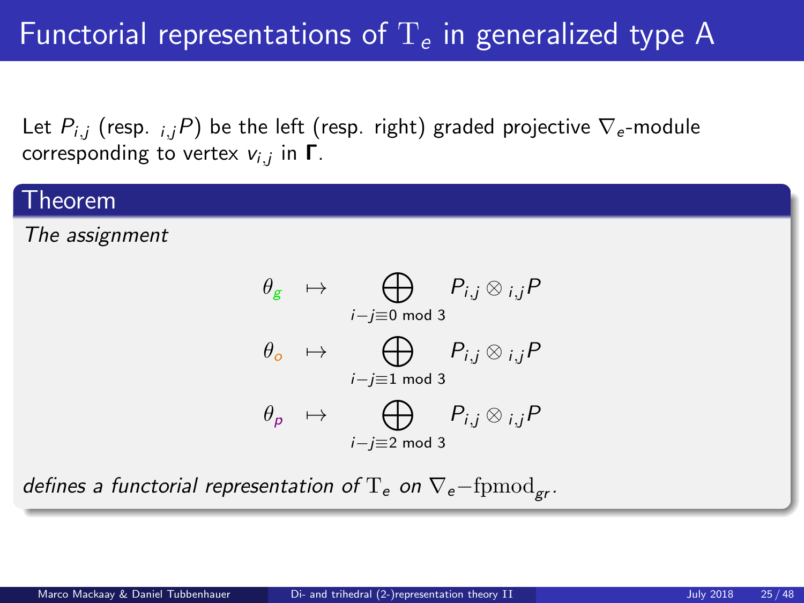# Functorial representations of  $T_e$  in generalized type A

Let  $P_{i,i}$  (resp.  $_{i,i}P$ ) be the left (resp. right) graded projective  $\nabla_e$ -module corresponding to vertex  $v_{i,j}$  in  $\boldsymbol{\mathsf{\Gamma}}.$ 

#### Theorem

The assignment

$$
\theta_{g} \rightarrow \bigoplus_{i-j\equiv 0 \bmod 3} P_{i,j} \otimes_{i,j} P
$$

$$
\theta_{o} \rightarrow \bigoplus_{i-j\equiv 1 \bmod 3} P_{i,j} \otimes_{i,j} P
$$

$$
\theta_{p} \rightarrow \bigoplus_{i-j\equiv 2 \bmod 3} P_{i,j} \otimes_{i,j} P
$$

defines a functorial representation of  $T_e$  on  $\nabla_e$ -fpmod<sub>or</sub>.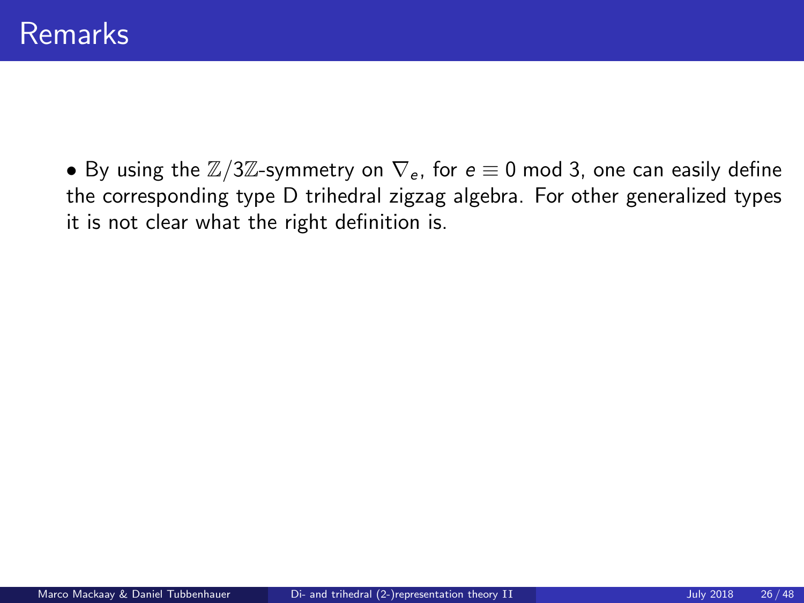• By using the  $\mathbb{Z}/3\mathbb{Z}$ -symmetry on  $\nabla_e$ , for  $e \equiv 0$  mod 3, one can easily define the corresponding type D trihedral zigzag algebra. For other generalized types it is not clear what the right definition is.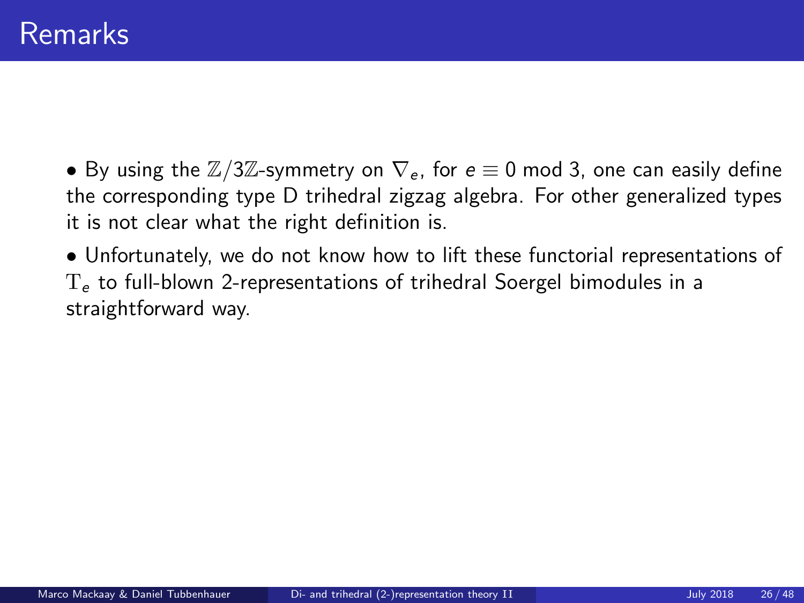• By using the  $\mathbb{Z}/3\mathbb{Z}$ -symmetry on  $\nabla_e$ , for  $e \equiv 0 \mod 3$ , one can easily define the corresponding type D trihedral zigzag algebra. For other generalized types it is not clear what the right definition is.

• Unfortunately, we do not know how to lift these functorial representations of  $T<sub>e</sub>$  to full-blown 2-representations of trihedral Soergel bimodules in a straightforward way.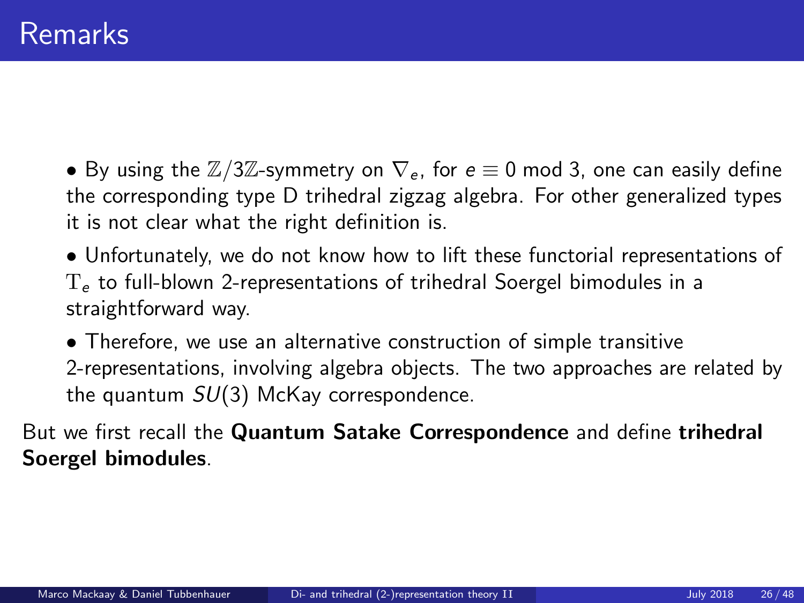• By using the  $\mathbb{Z}/3\mathbb{Z}$ -symmetry on  $\nabla_e$ , for  $e \equiv 0 \mod 3$ , one can easily define the corresponding type D trihedral zigzag algebra. For other generalized types it is not clear what the right definition is.

• Unfortunately, we do not know how to lift these functorial representations of  $T<sub>e</sub>$  to full-blown 2-representations of trihedral Soergel bimodules in a straightforward way.

• Therefore, we use an alternative construction of simple transitive 2-representations, involving algebra objects. The two approaches are related by the quantum  $SU(3)$  McKay correspondence.

But we first recall the Quantum Satake Correspondence and define trihedral Soergel bimodules.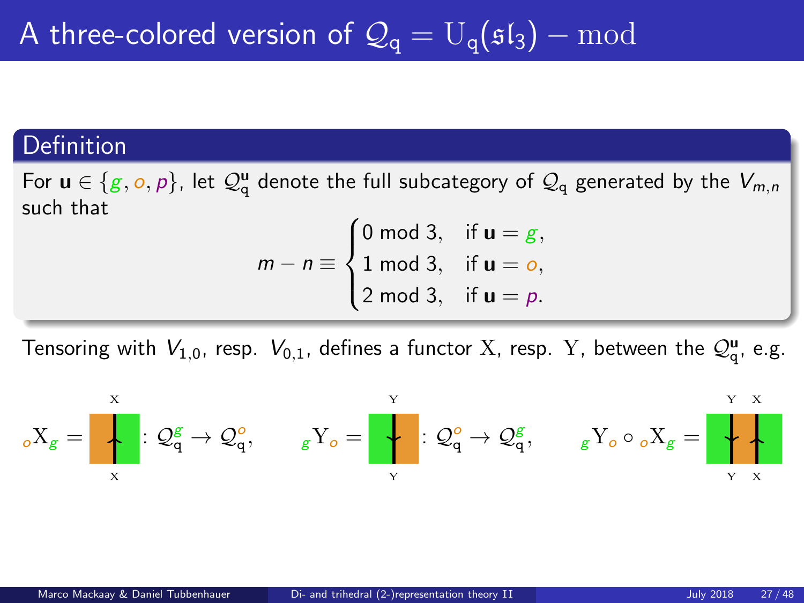#### **Definition**

For  $\mathbf{u}\in\{g,o,p\},$  let  $\mathcal{Q}_{\text{q}}^{\mathbf{u}}$  denote the full subcategory of  $\mathcal{Q}_{\text{q}}$  generated by the  $V_{m,n}$ such that

$$
m - n \equiv \begin{cases} 0 \mod 3, & \text{if } \mathbf{u} = g, \\ 1 \mod 3, & \text{if } \mathbf{u} = o, \\ 2 \mod 3, & \text{if } \mathbf{u} = p. \end{cases}
$$

Tensoring with  $V_{1,0}$ , resp.  $V_{0,1}$ , defines a functor X, resp. Y, between the  $\mathcal{Q}_q^{\mathbf{u}}$ , e.g.

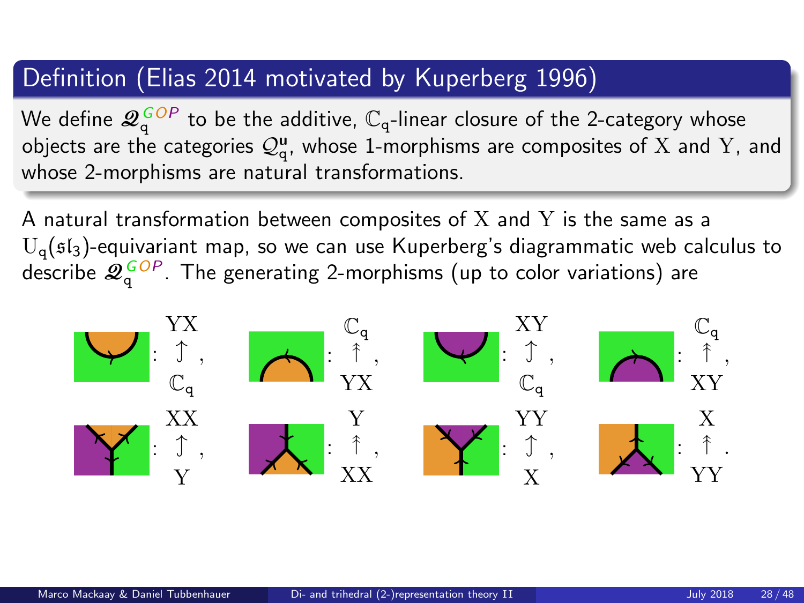### Definition (Elias 2014 motivated by Kuperberg 1996)

We define  $\mathscr{Q}_\text{q}^{\,GOP}$  to be the additive,  $\mathbb{C}_\text{q}\text{-}$ linear closure of the 2-category whose objects are the categories  $\mathcal{Q}_{\mathsf{q}}^{\mathsf{u}},$  whose 1-morphisms are composites of  ${\rm X}$  and  ${\rm Y},$  and whose 2-morphisms are natural transformations.

A natural transformation between composites of  $X$  and  $Y$  is the same as a  $U_q$ ( $5l_3$ )-equivariant map, so we can use Kuperberg's diagrammatic web calculus to describe  $\mathscr{Q}^{\,GOP}_{\,q}$ . The generating 2-morphisms (up to color variations) are

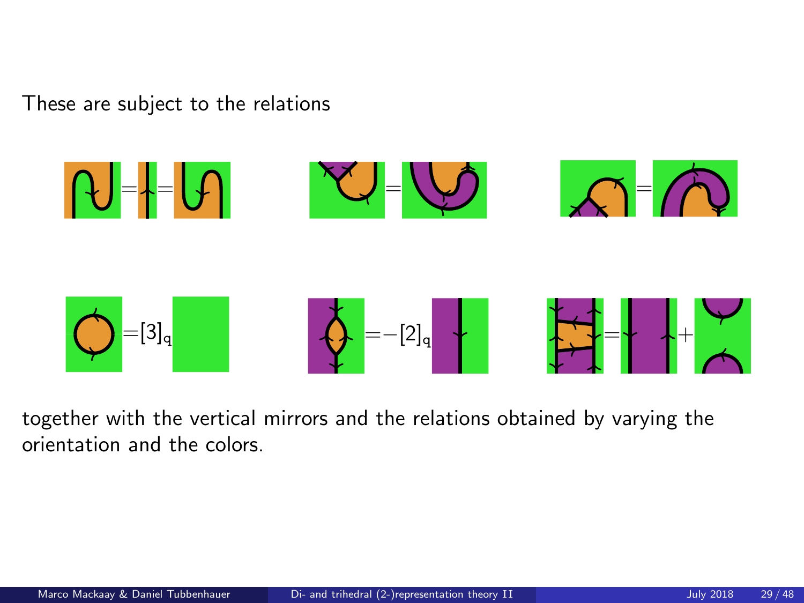These are subject to the relations



together with the vertical mirrors and the relations obtained by varying the orientation and the colors.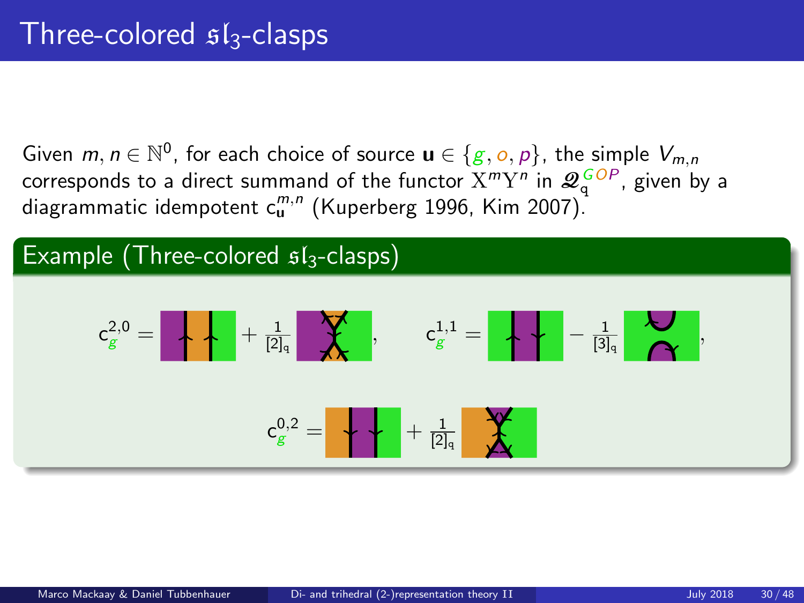Given  $m, n \in \mathbb{N}^0$ , for each choice of source  $\mathbf{u} \in \{g, o, p\}$ , the simple  $V_{m,n}$ corresponds to a direct summand of the functor  $X^mY^n$  in  $\mathscr{Q}^{\textit{GOP}}_{q}$ , given by a diagrammatic idempotent c $_\mathbf{u}^{m,n}$  (Kuperberg 1996, Kim 2007).

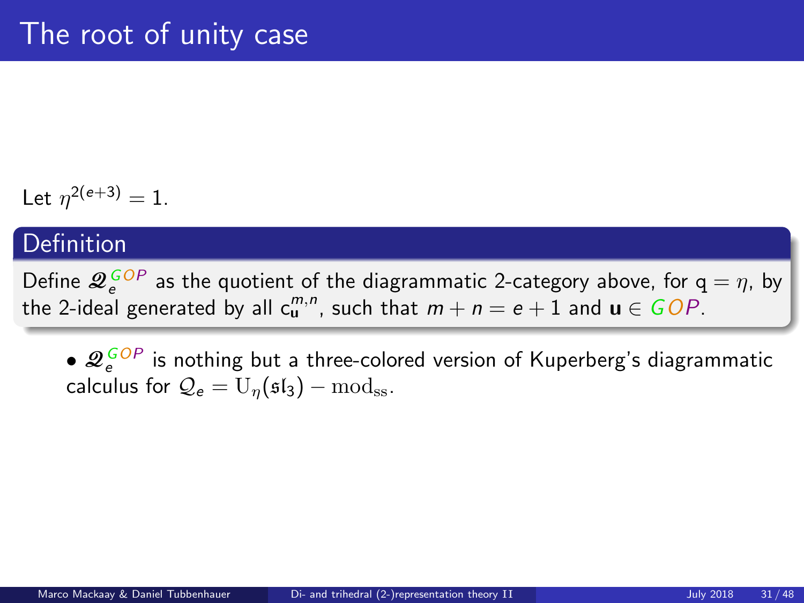Let  $\eta^{2(e+3)} = 1$ .

#### **Definition**

Define  $\mathcal{Q}^{\textit{GOP}}_{e}$  as the quotient of the diagrammatic 2-category above, for  $q = \eta$ , by the 2-ideal generated by all  $c_{\mathbf{u}}^{m,n}$ , such that  $m + n = e + 1$  and  $\mathbf{u} \in GOP$ .

 $\bullet$   $\mathscr{Q}^{\,GOP}_{e}$  is nothing but a three-colored version of Kuperberg's diagrammatic calculus for  $Q_e = U_n(\mathfrak{sl}_3) - \text{mod}_{ss}$ .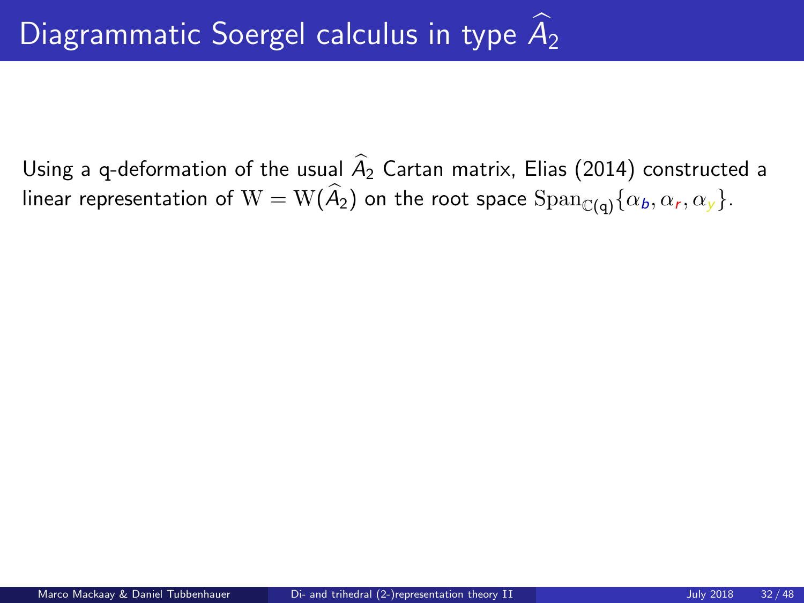Using a q-deformation of the usual  $\widehat{A}_2$  Cartan matrix, Elias (2014) constructed a linear representation of  $\mathrm{W}=\mathrm{W}(A_2)$  on the root space  $\mathrm{Span}_{\mathbb{C}(\mathsf{q})}\{\alpha_b, \alpha_r, \alpha_y\}.$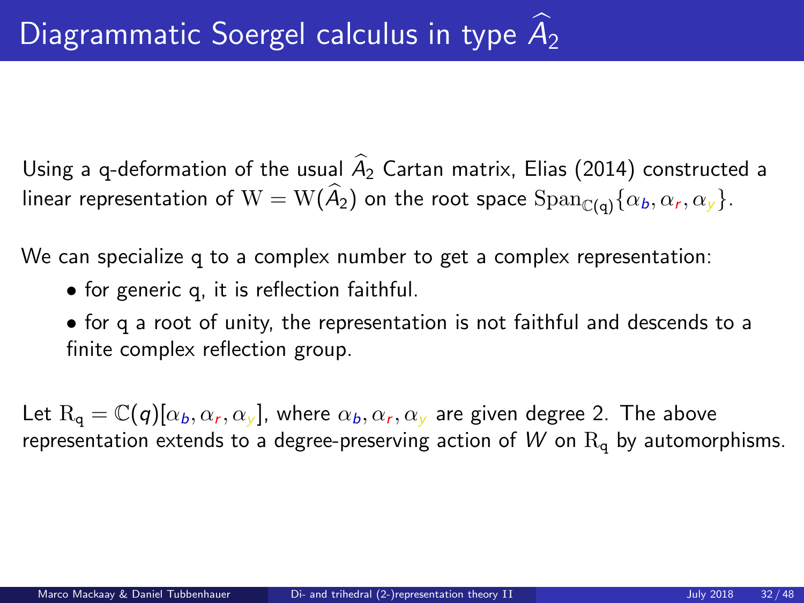Using a q-deformation of the usual  $\widehat{A}_2$  Cartan matrix, Elias (2014) constructed a linear representation of  $\mathrm{W}=\mathrm{W}(A_2)$  on the root space  $\mathrm{Span}_{\mathbb{C}(\mathsf{q})}\{\alpha_b, \alpha_r, \alpha_y\}.$ 

We can specialize q to a complex number to get a complex representation:

- for generic q, it is reflection faithful.
- for q a root of unity, the representation is not faithful and descends to a finite complex reflection group.

Let  $\text{R}_{\text{q}} = \mathbb{C}(\textit{q})[\alpha_{b},\alpha_{r},\alpha_{y}]$ , where  $\alpha_{b},\alpha_{r},\alpha_{y}$  are given degree 2. The above representation extends to a degree-preserving action of  $W$  on  $R_q$  by automorphisms.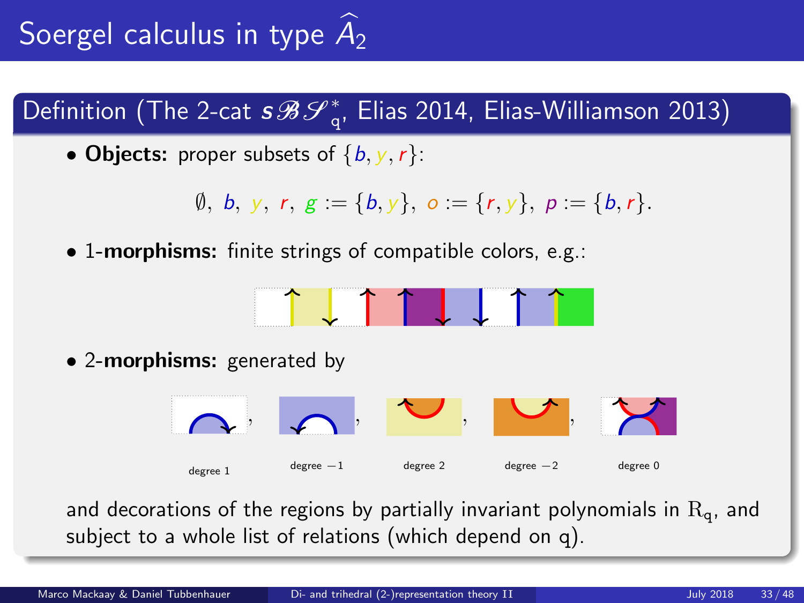Definition (The 2-cat  $s\mathcal{B}\mathcal{S}_{\mathrm{q}}^{*}$ , Elias 2014, Elias-Williamson 2013)

• Objects: proper subsets of  $\{b, y, r\}$ :

$$
\emptyset, b, y, r, g := \{b, y\}, o := \{r, y\}, p := \{b, r\}.
$$

• 1-morphisms: finite strings of compatible colors, e.g.:



• 2-morphisms: generated by



and decorations of the regions by partially invariant polynomials in  $R_q$ , and subject to a whole list of relations (which depend on q).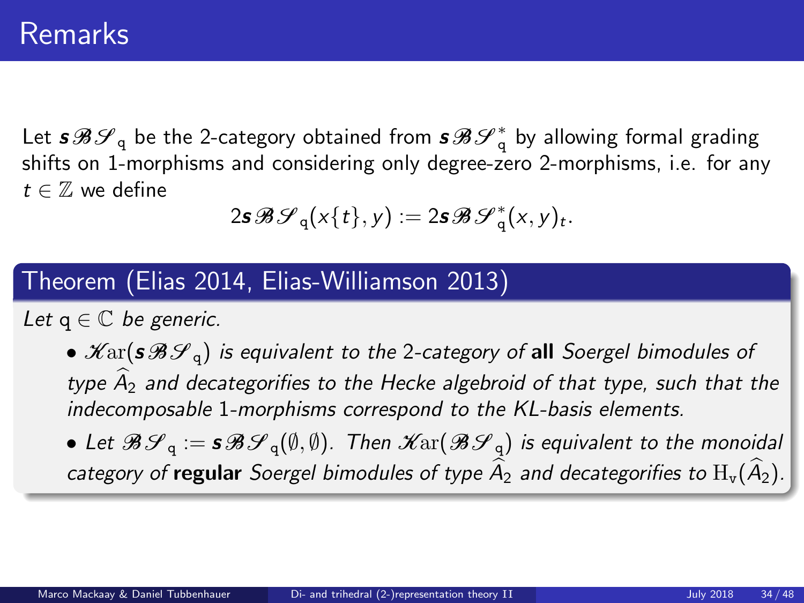Let  $\bm{s}\mathcal{B}\mathcal{S}_\text{q}$  be the 2-category obtained from  $\bm{s}\mathcal{B}\mathcal{S}_\text{q}^*$  by allowing formal grading shifts on 1-morphisms and considering only degree-zero 2-morphisms, i.e. for any  $t \in \mathbb{Z}$  we define

$$
2\mathbf{s}\mathscr{B}\mathscr{S}_{q}(x\{t\},y):=2\mathbf{s}\mathscr{B}\mathscr{S}_{q}^{*}(x,y)_{t}.
$$

#### Theorem (Elias 2014, Elias-Williamson 2013)

Let  $q \in \mathbb{C}$  be generic.

•  $\mathscr{K}\text{ar}(s\mathscr{B}\mathscr{S}_q)$  is equivalent to the 2-category of all Soergel bimodules of type  $A_2$  and decategorifies to the Hecke algebroid of that type, such that the indecomposable 1-morphisms correspond to the KL-basis elements.

• Let  $\mathscr{B}\mathscr{S}_q := s\mathscr{B}\mathscr{S}_q(\emptyset,\emptyset)$ . Then  $\mathscr{K}\text{ar}(\mathscr{B}\mathscr{S}_q)$  is equivalent to the monoidal category of regular Soergel bimodules of type  $\widehat{A}_2$  and decategorifies to  $H_v(\widehat{A}_2)$ .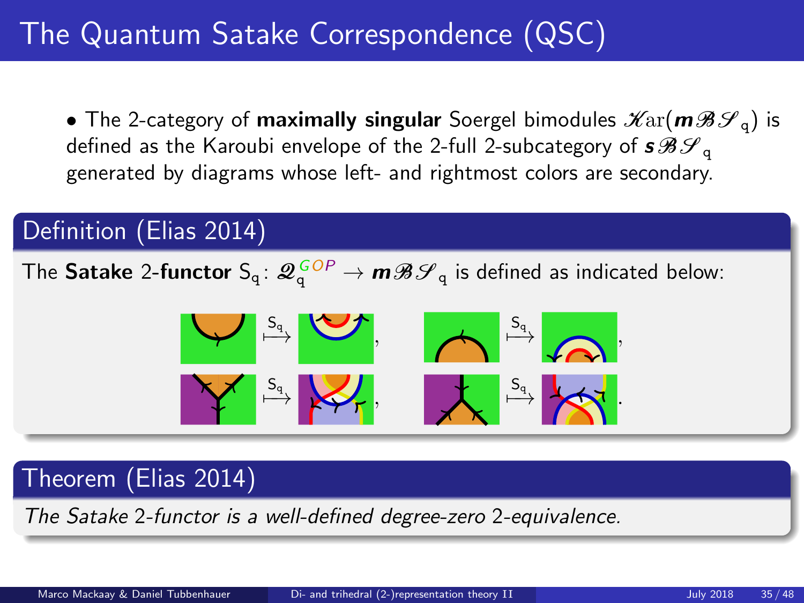# The Quantum Satake Correspondence (QSC)

• The 2-category of maximally singular Soergel bimodules  $\mathscr{K}\text{ar}(m\mathscr{B}\mathscr{S}_q)$  is defined as the Karoubi envelope of the 2-full 2-subcategory of  $s\mathcal{BF}_{q}$ generated by diagrams whose left- and rightmost colors are secondary.

### Definition (Elias 2014)

The <code>Satake 2-functor</code>  $\mathsf{S_q}\colon\mathscr{Q}_\mathsf{q}^{\,GOP}\to\bm{m}\mathscr{B}\mathscr{S}_\mathsf{q}$  is defined as indicated below:



### Theorem (Elias 2014)

The Satake 2-functor is a well-defined degree-zero 2-equivalence.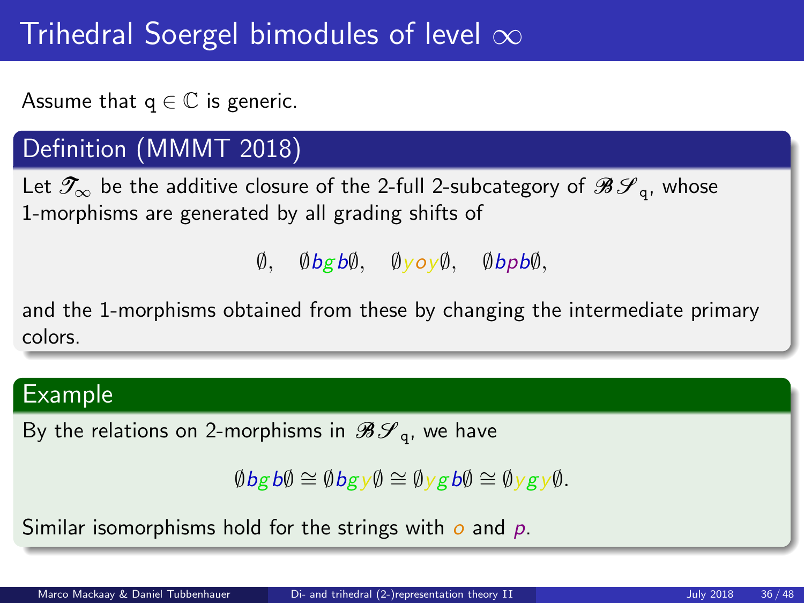# Trihedral Soergel bimodules of level  $\infty$

Assume that  $q \in \mathbb{C}$  is generic.

## Definition (MMMT 2018)

Let  $\mathscr{T}_{\infty}$  be the additive closure of the 2-full 2-subcategory of  $\mathscr{B}\mathscr{S}_{\infty}$ , whose 1-morphisms are generated by all grading shifts of

 $\emptyset$ ,  $\emptyset$ bgb $\emptyset$ ,  $\emptyset$ yoy $\emptyset$ ,  $\emptyset$ bpb $\emptyset$ ,

and the 1-morphisms obtained from these by changing the intermediate primary colors.

#### Example

By the relations on 2-morphisms in  $\mathcal{BF}_{q}$ , we have

 $\emptyset$ bgb $\emptyset \cong \emptyset$ bgy $\emptyset \cong \emptyset$ ygb $\emptyset \cong \emptyset$ ygy $\emptyset$ .

Similar isomorphisms hold for the strings with  $o$  and  $p$ .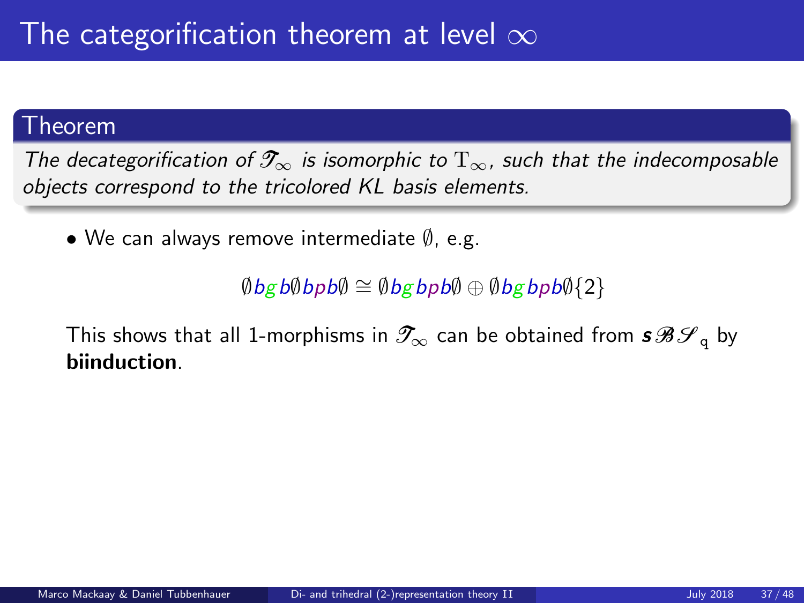#### Theorem

The decategorification of  $\mathcal{T}_{\infty}$  is isomorphic to  $T_{\infty}$ , such that the indecomposable objects correspond to the tricolored KL basis elements.

• We can always remove intermediate ∅, e.g.

 $\emptyset$ bgb $\emptyset$ bpb $\emptyset \cong \emptyset$ bgbpb $\emptyset$ {2}

This shows that all 1-morphisms in  $\mathscr{T}_{\infty}$  can be obtained from  $s\mathscr{B}S_{\mathfrak{g}}$  by biinduction.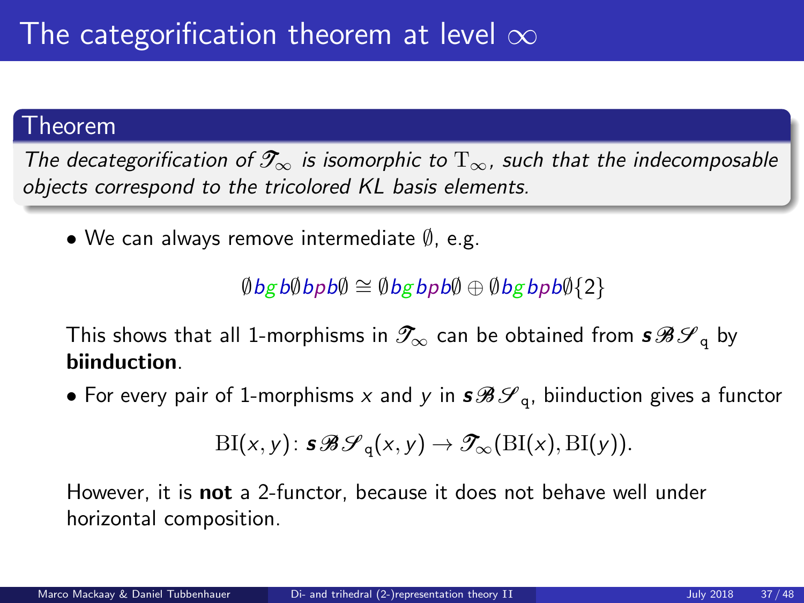#### Theorem

The decategorification of  $\mathcal{T}_{\infty}$  is isomorphic to  $T_{\infty}$ , such that the indecomposable objects correspond to the tricolored KL basis elements.

• We can always remove intermediate ∅, e.g.

 $\emptyset$ bgb $\emptyset$ bpb $\emptyset \cong \emptyset$ bgbpb $\emptyset$ {2}

This shows that all 1-morphisms in  $\mathscr{T}_{\infty}$  can be obtained from  $s\mathscr{B}S_{\mathfrak{g}}$  by biinduction.

• For every pair of 1-morphisms x and y in  $s\mathcal{B}\mathcal{S}_q$ , biinduction gives a functor

$$
\mathrm{BI}(x,y)\colon \mathbf{s}\mathcal{B}\mathcal{S}_q(x,y) \to \mathcal{T}_\infty(\mathrm{BI}(x),\mathrm{BI}(y)).
$$

However, it is **not** a 2-functor, because it does not behave well under horizontal composition.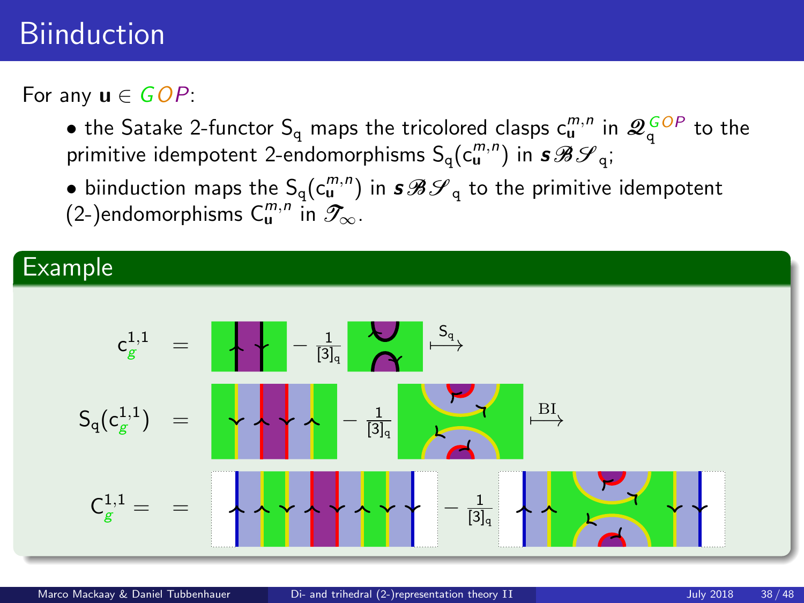## **Biinduction**

For any  $\mathbf{u} \in GOP$ :

- the Satake 2-functor  $S_q$  maps the tricolored clasps  $c_u^{m,n}$  in  $\mathcal{Q}_q^{GOP}$  to the primitive idempotent 2-endomorphisms  $\mathsf{S_q}(\mathsf{c}_\mathsf{u}^{m,n})$  in  $\bm{s}\bm{\mathscr{B}}\bm{\mathscr{S}}_\mathsf{q};$
- $\bullet$  biinduction maps the  $\mathsf{S_q}(\mathsf{c}_\mathsf{u}^{m,n})$  in  $\bm{s}\mathscr{B}\mathscr{S}_\mathsf{q}$  to the primitive idempotent (2-)endomorphisms  $C^{m,n}_\mathbf{u}$  in  $\mathscr{T}_\infty$ .

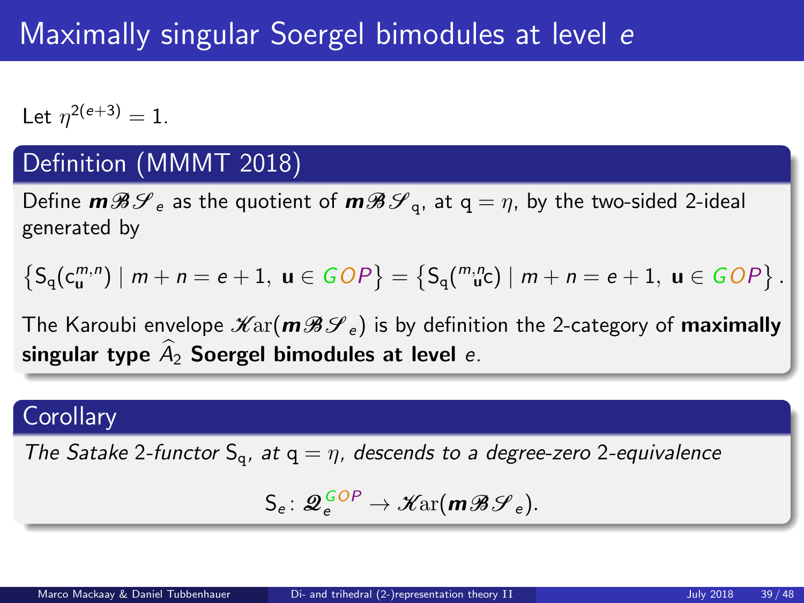# Maximally singular Soergel bimodules at level e

Let  $\eta^{2(e+3)} = 1$ .

### Definition (MMMT 2018)

Define  $m\mathcal{B}\mathcal{S}_e$  as the quotient of  $m\mathcal{B}\mathcal{S}_q$ , at  $q = \eta$ , by the two-sided 2-ideal generated by

 $\left\{S_q(c^{m,n}_{\mathbf{u}}) \mid m+n = e+1, \mathbf{u} \in GDP\right\} = \left\{S_q(\begin{smallmatrix} m,n \\ \mathbf{u}^c \end{smallmatrix}) \mid m+n = e+1, \mathbf{u} \in GDP\right\}.$ 

The Karoubi envelope  $\mathscr{K}\text{ar}(\mathbf{m}\mathscr{B}\mathscr{S}_e)$  is by definition the 2-category of **maximally** singular type  $\hat{A}_2$  Soergel bimodules at level e.

#### **Corollary**

The Satake 2-functor  $S_q$ , at  $q = \eta$ , descends to a degree-zero 2-equivalence

$$
\mathsf{S}_{e} \colon \mathcal{Q}_{e}^{\mathit{GOP}} \to \mathscr{K}\mathrm{ar}(m\mathscr{B}\mathscr{S}_{e}).
$$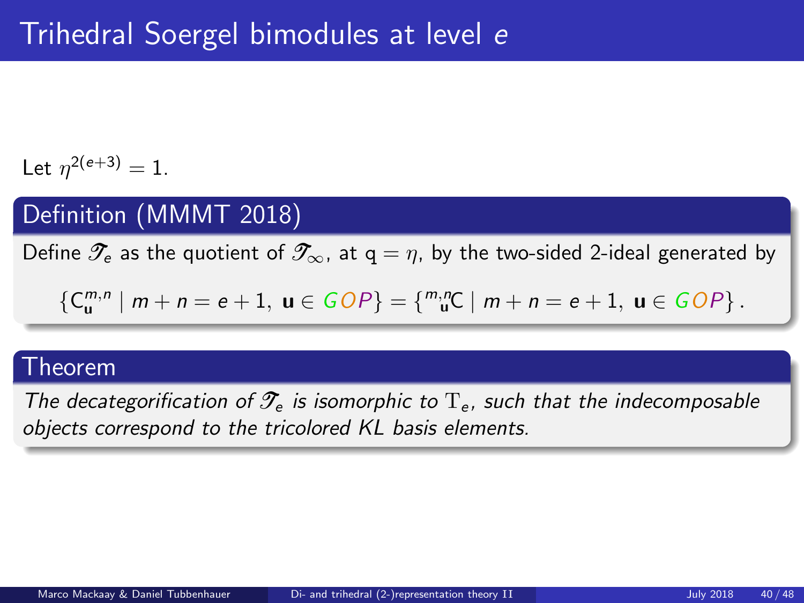Let  $\eta^{2(e+3)} = 1$ .

## Definition (MMMT 2018)

Define  $\mathscr{T}_e$  as the quotient of  $\mathscr{T}_{\infty}$ , at  $q = \eta$ , by the two-sided 2-ideal generated by

$$
\{C_{\mathbf{u}}^{m,n} \mid m+n = e+1, \mathbf{u} \in GOP\} = \{ {}^{m,n}_{\mathbf{u}}C \mid m+n = e+1, \mathbf{u} \in GOP\}.
$$

#### Theorem

The decategorification of  $\mathcal{T}_{e}$  is isomorphic to  $T_{e}$ , such that the indecomposable objects correspond to the tricolored KL basis elements.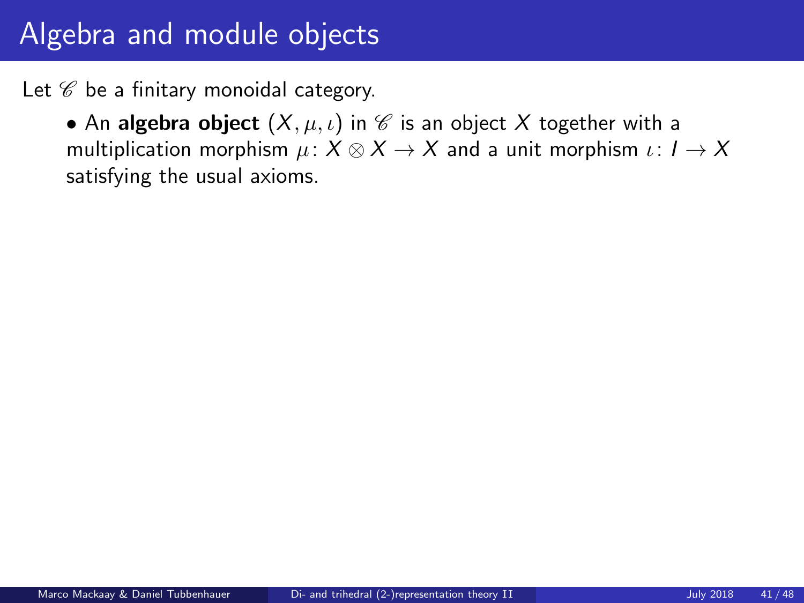Let  $\mathscr C$  be a finitary monoidal category.

• An algebra object  $(X, \mu, \iota)$  in  $\mathscr C$  is an object X together with a multiplication morphism  $\mu: X \otimes X \rightarrow X$  and a unit morphism  $\iota: I \rightarrow X$ satisfying the usual axioms.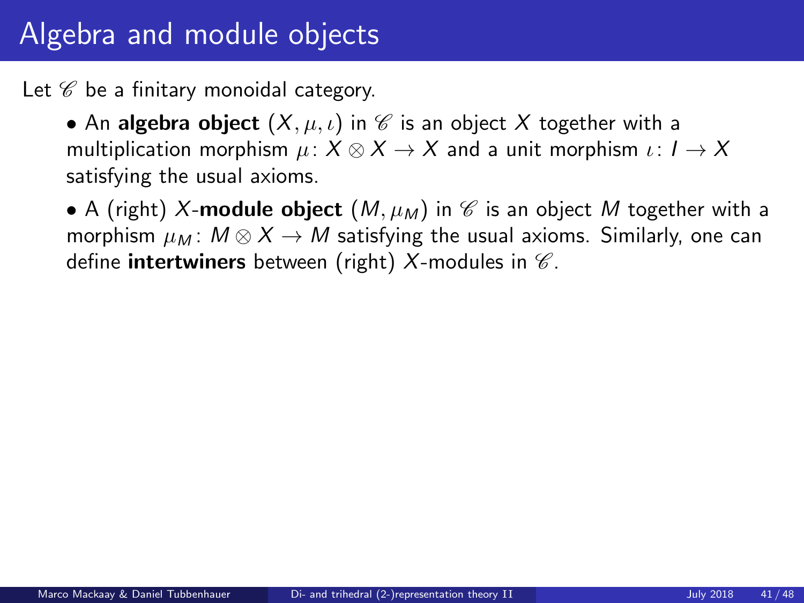Let  $\mathscr C$  be a finitary monoidal category.

• An algebra object  $(X, \mu, \iota)$  in  $\mathscr C$  is an object X together with a multiplication morphism  $\mu: X \otimes X \rightarrow X$  and a unit morphism  $\iota: I \rightarrow X$ satisfying the usual axioms.

• A (right) X-module object  $(M, \mu_M)$  in  $\mathscr C$  is an object M together with a morphism  $\mu_M$ :  $M \otimes X \rightarrow M$  satisfying the usual axioms. Similarly, one can define intertwiners between (right)  $X$ -modules in  $\mathscr C$ .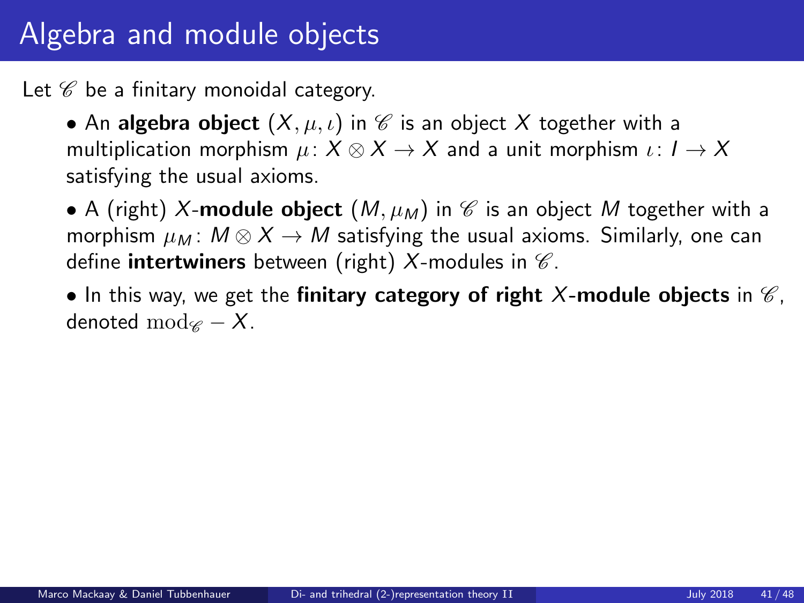Let  $\mathscr C$  be a finitary monoidal category.

• An algebra object  $(X, \mu, \iota)$  in  $\mathscr C$  is an object X together with a multiplication morphism  $\mu: X \otimes X \rightarrow X$  and a unit morphism  $\iota: I \rightarrow X$ satisfying the usual axioms.

• A (right) X-module object  $(M, \mu_M)$  in  $\mathscr C$  is an object M together with a morphism  $\mu_M$ :  $M \otimes X \rightarrow M$  satisfying the usual axioms. Similarly, one can define **intertwiners** between (right) X-modules in  $\mathscr{C}$ .

• In this way, we get the finitary category of right X-module objects in  $\mathscr{C}$ , denoted mod $\mathscr{C} - X$ .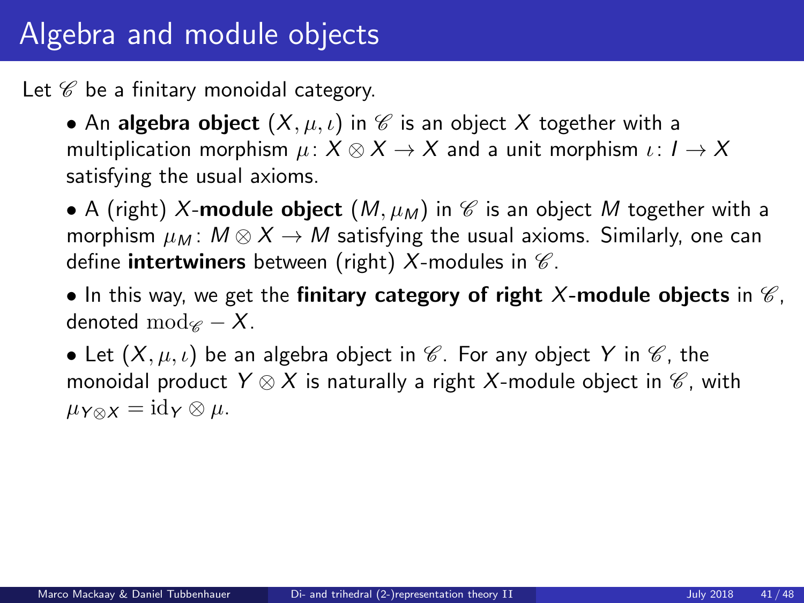Let  $\mathscr C$  be a finitary monoidal category.

• An algebra object  $(X, \mu, \iota)$  in  $\mathscr C$  is an object X together with a multiplication morphism  $\mu: X \otimes X \rightarrow X$  and a unit morphism  $\iota: I \rightarrow X$ satisfying the usual axioms.

• A (right) X-module object  $(M, \mu_M)$  in  $\mathscr C$  is an object M together with a morphism  $\mu_M$ :  $M \otimes X \rightarrow M$  satisfying the usual axioms. Similarly, one can define **intertwiners** between (right) X-modules in  $\mathscr{C}$ .

• In this way, we get the finitary category of right X-module objects in  $\mathscr{C}$ , denoted mod $\mathscr{C} - X$ .

• Let  $(X, \mu, \iota)$  be an algebra object in  $\mathscr C$ . For any object Y in  $\mathscr C$ , the monoidal product  $Y \otimes X$  is naturally a right X-module object in  $\mathscr{C}$ , with  $\mu_{Y \otimes X} = \mathrm{id}_Y \otimes \mu.$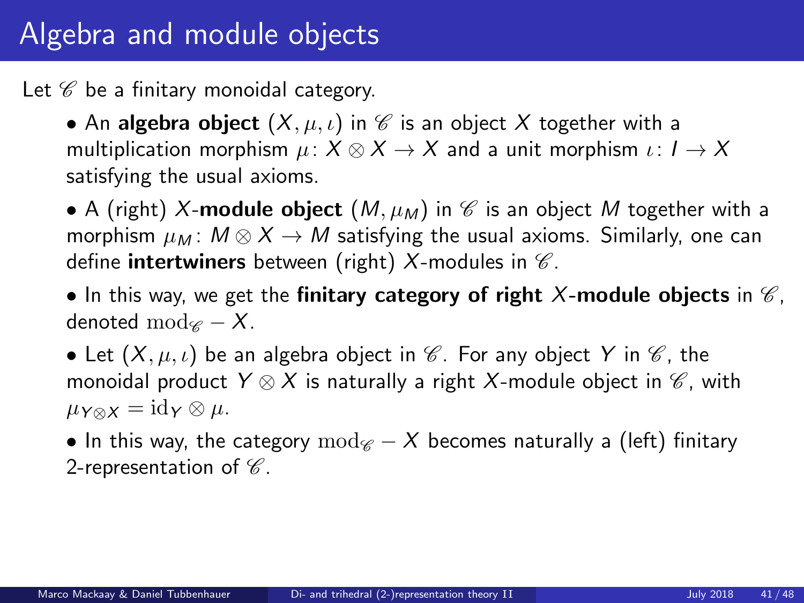Let  $\mathscr C$  be a finitary monoidal category.

• An algebra object  $(X, \mu, \iota)$  in  $\mathscr C$  is an object X together with a multiplication morphism  $\mu: X \otimes X \rightarrow X$  and a unit morphism  $\iota: I \rightarrow X$ satisfying the usual axioms.

• A (right) X-module object  $(M, \mu_M)$  in  $\mathscr C$  is an object M together with a morphism  $\mu_M$ :  $M \otimes X \rightarrow M$  satisfying the usual axioms. Similarly, one can define **intertwiners** between (right) X-modules in  $\mathscr{C}$ .

• In this way, we get the finitary category of right X-module objects in  $\mathscr{C}$ , denoted mod $\mathscr{C} - X$ .

• Let  $(X, \mu, \iota)$  be an algebra object in  $\mathscr C$ . For any object Y in  $\mathscr C$ , the monoidal product  $Y \otimes X$  is naturally a right X-module object in  $\mathscr{C}$ , with  $\mu_{Y \otimes X} = \mathrm{id}_Y \otimes \mu.$ 

• In this way, the category  $mod_{\mathscr{C}} - X$  becomes naturally a (left) finitary 2-representation of  $\mathscr C$ .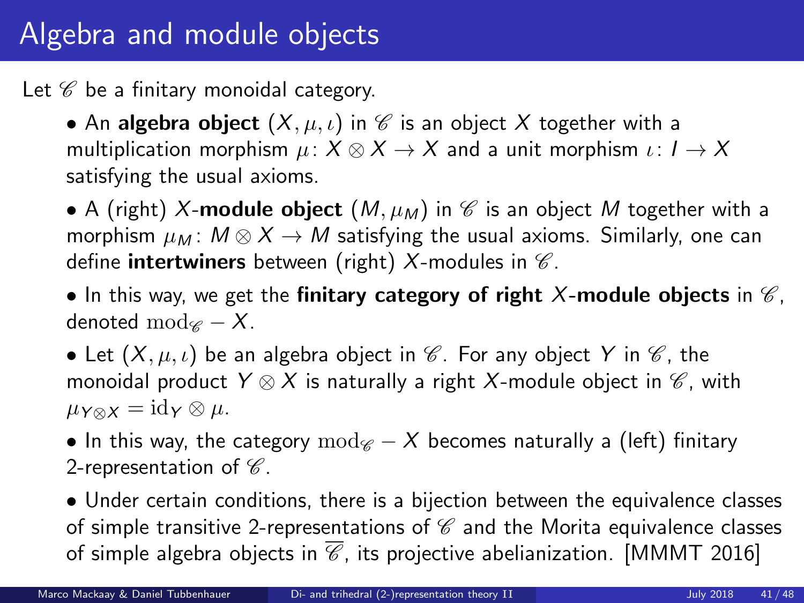Let  $\mathscr C$  be a finitary monoidal category.

• An algebra object  $(X, \mu, \iota)$  in  $\mathscr C$  is an object X together with a multiplication morphism  $\mu: X \otimes X \rightarrow X$  and a unit morphism  $\iota: I \rightarrow X$ satisfying the usual axioms.

• A (right) X-module object  $(M, \mu_M)$  in  $\mathscr C$  is an object M together with a morphism  $\mu_M$ :  $M \otimes X \rightarrow M$  satisfying the usual axioms. Similarly, one can define **intertwiners** between (right) X-modules in  $\mathscr{C}$ .

• In this way, we get the finitary category of right X-module objects in  $\mathscr{C}$ , denoted mod $\mathscr{C} - X$ .

• Let  $(X, \mu, \iota)$  be an algebra object in  $\mathscr C$ . For any object Y in  $\mathscr C$ , the monoidal product  $Y \otimes X$  is naturally a right X-module object in  $\mathscr{C}$ , with  $\mu_{Y \otimes X} = \mathrm{id}_Y \otimes \mu.$ 

• In this way, the category  $mod_{\mathscr{C}} - X$  becomes naturally a (left) finitary 2-representation of  $\mathscr C$ .

• Under certain conditions, there is a bijection between the equivalence classes of simple transitive 2-representations of  $\mathscr C$  and the Morita equivalence classes of simple algebra objects in  $\overline{\mathscr{C}}$ , its projective abelianization. [MMMT 2016]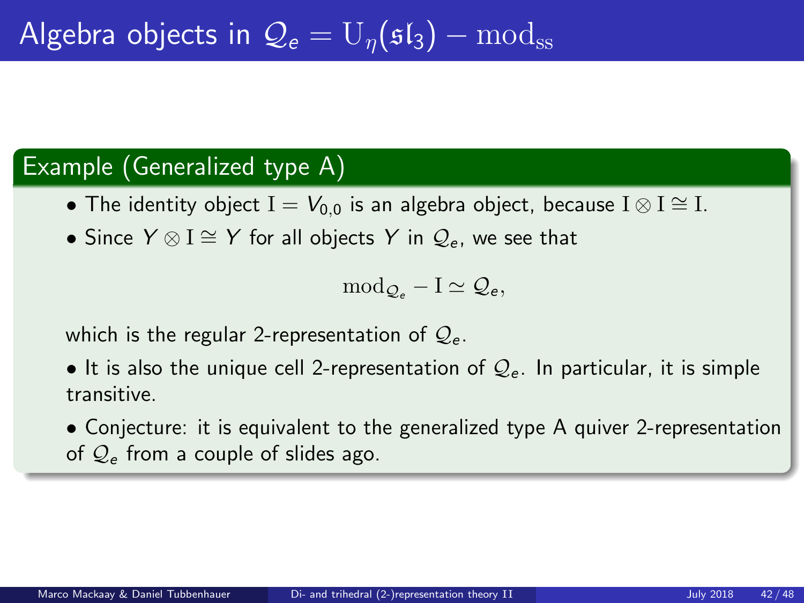### Example (Generalized type A)

- The identity object  $I = V_{0,0}$  is an algebra object, because  $I \otimes I \cong I$ .
- Since  $Y \otimes I \cong Y$  for all objects Y in  $\mathcal{Q}_e$ , we see that

$$
\mathrm{mod}_{\mathcal{Q}_e}-I\simeq \mathcal{Q}_e,
$$

which is the regular 2-representation of  $\mathcal{Q}_{e}$ .

• It is also the unique cell 2-representation of  $\mathcal{Q}_{e}$ . In particular, it is simple transitive.

• Conjecture: it is equivalent to the generalized type A quiver 2-representation of  $Q_e$  from a couple of slides ago.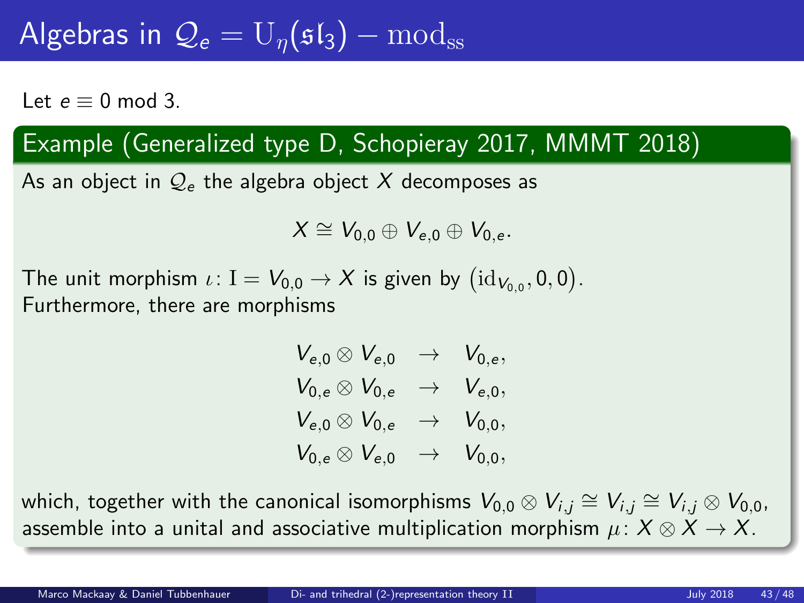# Algebras in  $\overline{\mathcal{Q}}_e = U_n(\mathfrak{sl}_3) - \overline{\mathrm{mod}}_{ss}$

Let  $e = 0$  mod 3.

### Example (Generalized type D, Schopieray 2017, MMMT 2018)

As an object in  $\mathcal{Q}_{e}$  the algebra object X decomposes as

$$
X \cong V_{0,0} \oplus V_{e,0} \oplus V_{0,e}.
$$

The unit morphism  $\iota\colon {\rm I}=V_{0,0}\to X$  is given by  $\big({\rm id}_{V_{0,0}},0,0\big).$ Furthermore, there are morphisms

$$
V_{e,0} \otimes V_{e,0} \rightarrow V_{0,e},
$$
  
\n
$$
V_{0,e} \otimes V_{0,e} \rightarrow V_{e,0},
$$
  
\n
$$
V_{e,0} \otimes V_{0,e} \rightarrow V_{0,0},
$$
  
\n
$$
V_{0,e} \otimes V_{e,0} \rightarrow V_{0,0},
$$

which, together with the canonical isomorphisms  $V_{0,0}\otimes V_{i,j}\cong V_{i,j}\cong V_{i,j}\otimes V_{0,0}$ , assemble into a unital and associative multiplication morphism  $\mu: X \otimes X \rightarrow X$ .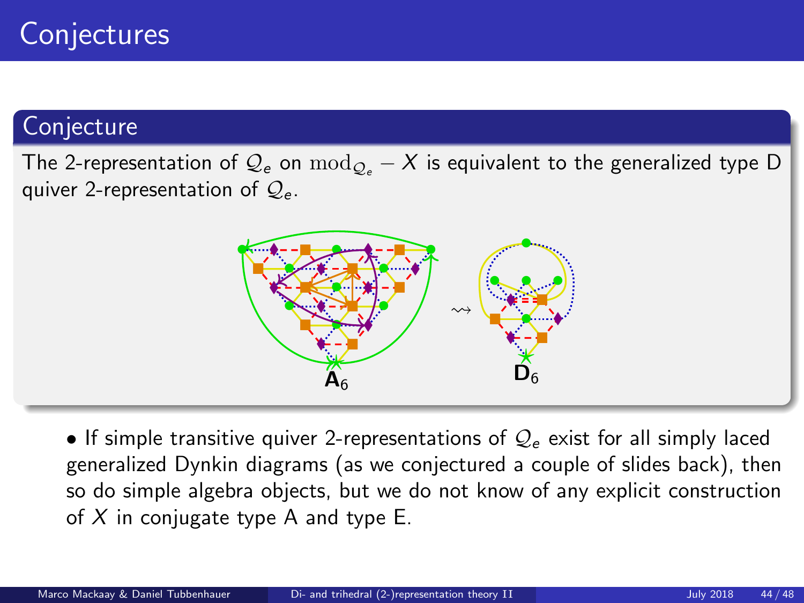### **Conjecture**

The 2-representation of  $\mathcal{Q}_e$  on  $\text{mod}_{\mathcal{Q}_e} - X$  is equivalent to the generalized type D quiver 2-representation of  $Q_e$ .



• If simple transitive quiver 2-representations of  $\mathcal{Q}_{e}$  exist for all simply laced generalized Dynkin diagrams (as we conjectured a couple of slides back), then so do simple algebra objects, but we do not know of any explicit construction of  $X$  in conjugate type A and type E.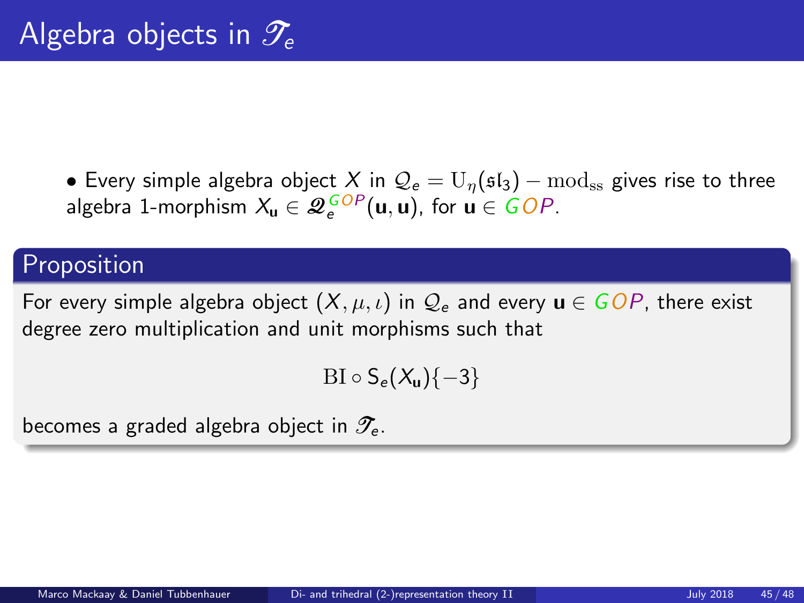• Every simple algebra object X in  $\mathcal{Q}_e = U_\eta(\mathfrak{sl}_3) - \text{mod}_{\text{ss}}$  gives rise to three algebra 1-morphism  $X_{\mathbf{u}} \in \mathscr{Q}_{e}^{GOP}(\mathbf{u},\mathbf{u})$ , for  $\mathbf{u} \in GOP$ .

### Proposition

For every simple algebra object  $(X, \mu, \iota)$  in  $\mathcal{Q}_e$  and every  $\mathbf{u} \in GOP$ , there exist degree zero multiplication and unit morphisms such that

 $BI \circ S_e(X_u)\{-3\}$ 

becomes a graded algebra object in  $\mathscr{T}_{\geq}$ .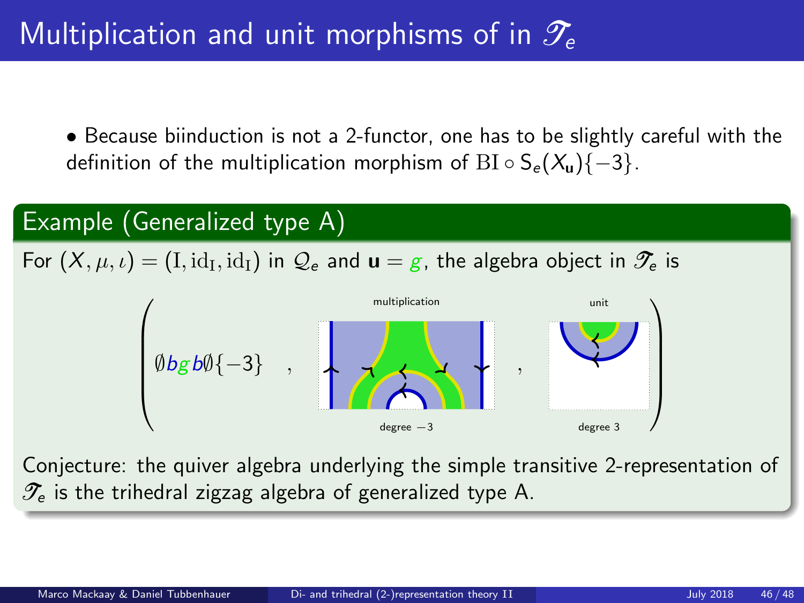• Because biinduction is not a 2-functor, one has to be slightly careful with the definition of the multiplication morphism of BI ∘  $S_e(X_u)$ {-3}.



Conjecture: the quiver algebra underlying the simple transitive 2-representation of  $\mathcal{T}_{e}$  is the trihedral zigzag algebra of generalized type A.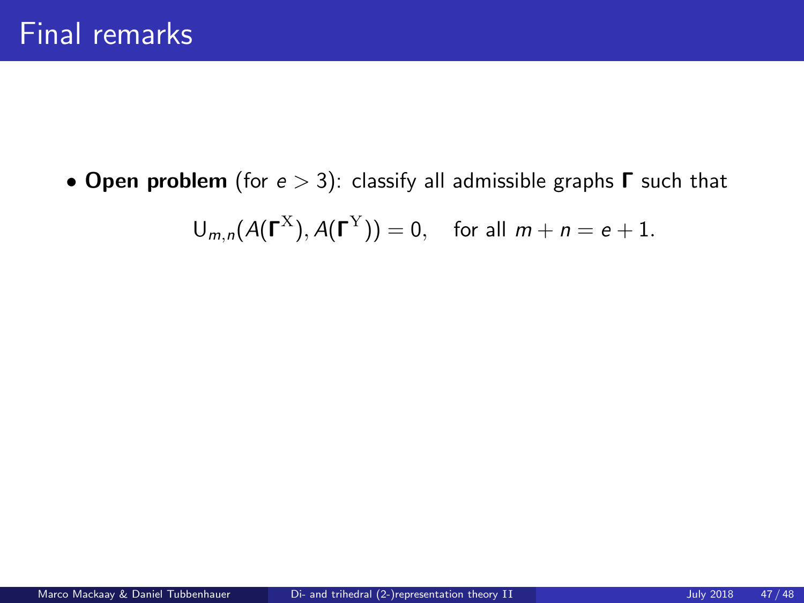$$
\mathsf{U}_{m,n}(A(\Gamma^{\mathrm{X}}),A(\Gamma^{\mathrm{Y}}))=0, \quad \text{for all } m+n=e+1.
$$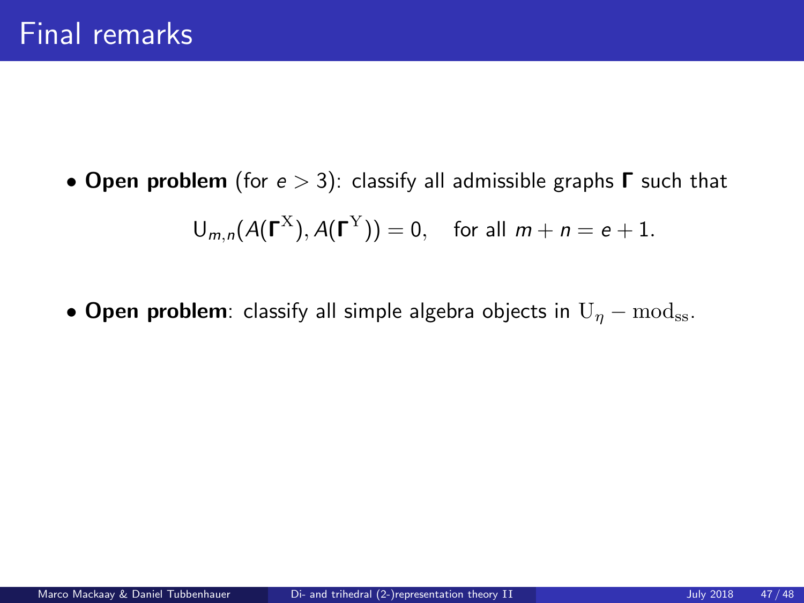$$
\mathsf{U}_{m,n}(A(\Gamma^{\mathrm{X}}),A(\Gamma^{\mathrm{Y}}))=0, \quad \text{for all } m+n=e+1.
$$

• Open problem: classify all simple algebra objects in  $U_n - mod_{ss}$ .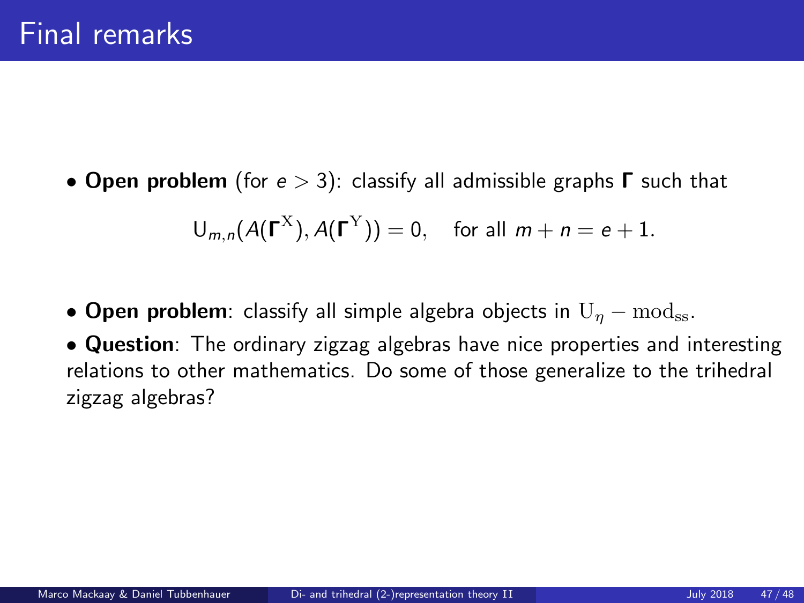$$
\mathsf{U}_{m,n}(A(\Gamma^{\mathrm{X}}),A(\Gamma^{\mathrm{Y}}))=0, \text{ for all } m+n=e+1.
$$

- Open problem: classify all simple algebra objects in  $U_n \text{mod}_{ss}$ .
- Question: The ordinary zigzag algebras have nice properties and interesting relations to other mathematics. Do some of those generalize to the trihedral zigzag algebras?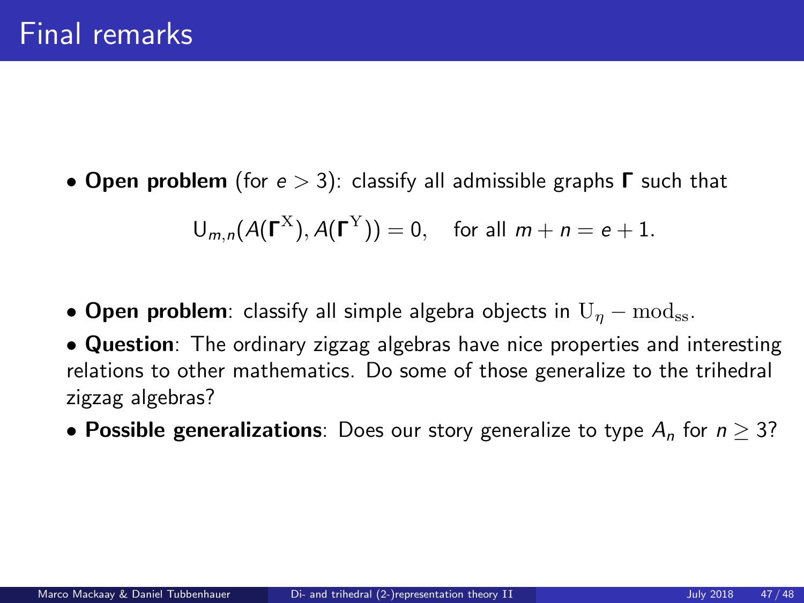$$
\mathsf{U}_{m,n}(A(\Gamma^{\mathrm{X}}),A(\Gamma^{\mathrm{Y}}))=0, \text{ for all } m+n=e+1.
$$

- Open problem: classify all simple algebra objects in  $U_n \text{mod}_{ss}$ .
- Question: The ordinary zigzag algebras have nice properties and interesting relations to other mathematics. Do some of those generalize to the trihedral zigzag algebras?
- Possible generalizations: Does our story generalize to type  $A_n$  for  $n \geq 3$ ?